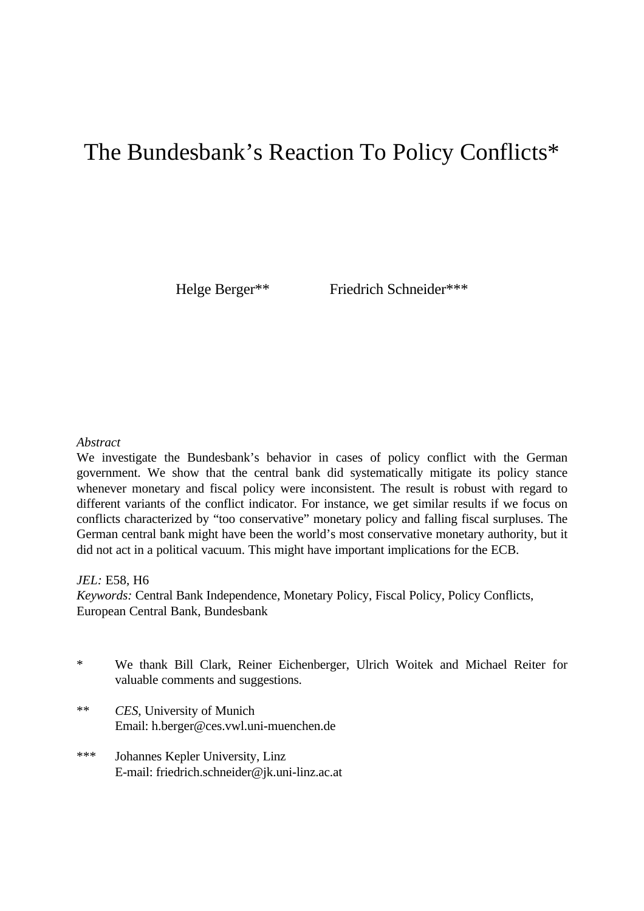# The Bundesbank's Reaction To Policy Conflicts\*

Helge Berger\*\* Friedrich Schneider\*\*\*

# *Abstract*

We investigate the Bundesbank's behavior in cases of policy conflict with the German government. We show that the central bank did systematically mitigate its policy stance whenever monetary and fiscal policy were inconsistent. The result is robust with regard to different variants of the conflict indicator. For instance, we get similar results if we focus on conflicts characterized by "too conservative" monetary policy and falling fiscal surpluses. The German central bank might have been the world's most conservative monetary authority, but it did not act in a political vacuum. This might have important implications for the ECB.

#### *JEL:* E58, H6

*Keywords:* Central Bank Independence, Monetary Policy, Fiscal Policy, Policy Conflicts, European Central Bank, Bundesbank

- \* We thank Bill Clark, Reiner Eichenberger, Ulrich Woitek and Michael Reiter for valuable comments and suggestions.
- \*\* *CES*, University of Munich Email: h.berger@ces.vwl.uni-muenchen.de
- \*\*\* Johannes Kepler University, Linz E-mail: friedrich.schneider@jk.uni-linz.ac.at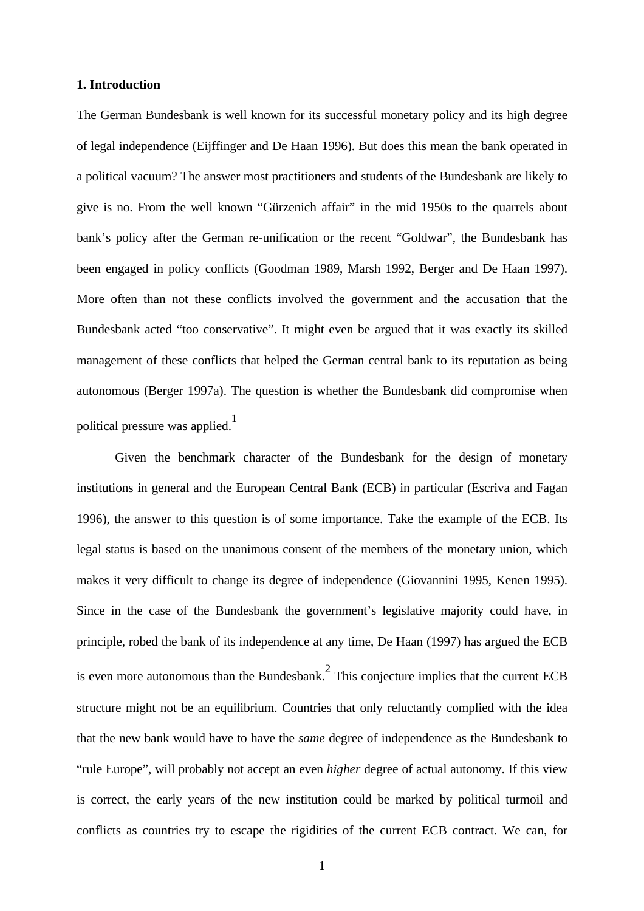#### **1. Introduction**

The German Bundesbank is well known for its successful monetary policy and its high degree of legal independence (Eijffinger and De Haan 1996). But does this mean the bank operated in a political vacuum? The answer most practitioners and students of the Bundesbank are likely to give is no. From the well known "Gürzenich affair" in the mid 1950s to the quarrels about bank's policy after the German re-unification or the recent "Goldwar", the Bundesbank has been engaged in policy conflicts (Goodman 1989, Marsh 1992, Berger and De Haan 1997). More often than not these conflicts involved the government and the accusation that the Bundesbank acted "too conservative". It might even be argued that it was exactly its skilled management of these conflicts that helped the German central bank to its reputation as being autonomous (Berger 1997a). The question is whether the Bundesbank did compromise when political pressure was applied.<sup>1</sup>

Given the benchmark character of the Bundesbank for the design of monetary institutions in general and the European Central Bank (ECB) in particular (Escriva and Fagan 1996), the answer to this question is of some importance. Take the example of the ECB. Its legal status is based on the unanimous consent of the members of the monetary union, which makes it very difficult to change its degree of independence (Giovannini 1995, Kenen 1995). Since in the case of the Bundesbank the government's legislative majority could have, in principle, robed the bank of its independence at any time, De Haan (1997) has argued the ECB is even more autonomous than the Bundesbank. $<sup>2</sup>$  This conjecture implies that the current ECB</sup> structure might not be an equilibrium. Countries that only reluctantly complied with the idea that the new bank would have to have the *same* degree of independence as the Bundesbank to "rule Europe", will probably not accept an even *higher* degree of actual autonomy. If this view is correct, the early years of the new institution could be marked by political turmoil and conflicts as countries try to escape the rigidities of the current ECB contract. We can, for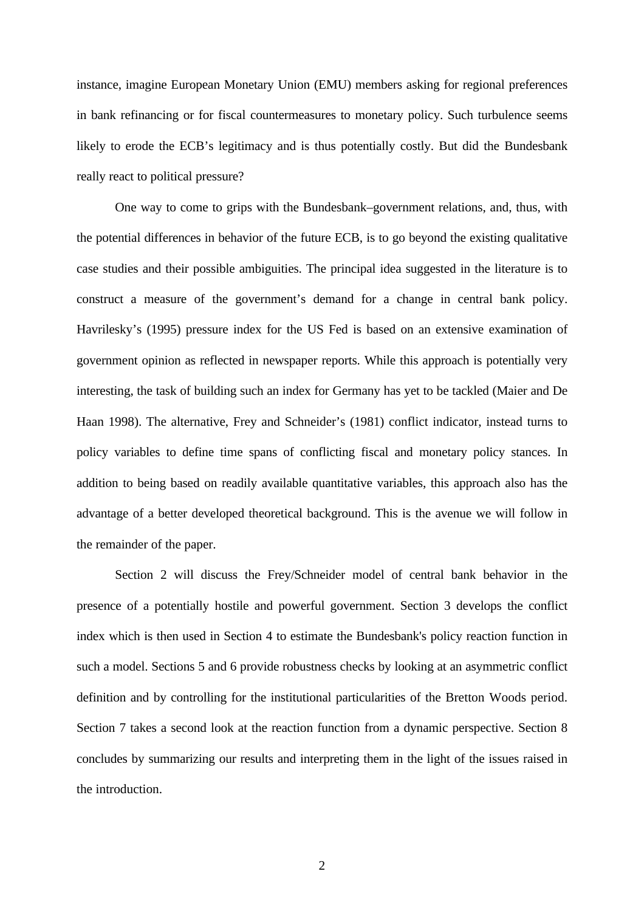instance, imagine European Monetary Union (EMU) members asking for regional preferences in bank refinancing or for fiscal countermeasures to monetary policy. Such turbulence seems likely to erode the ECB's legitimacy and is thus potentially costly. But did the Bundesbank really react to political pressure?

One way to come to grips with the Bundesbank–government relations, and, thus, with the potential differences in behavior of the future ECB, is to go beyond the existing qualitative case studies and their possible ambiguities. The principal idea suggested in the literature is to construct a measure of the government's demand for a change in central bank policy. Havrilesky's (1995) pressure index for the US Fed is based on an extensive examination of government opinion as reflected in newspaper reports. While this approach is potentially very interesting, the task of building such an index for Germany has yet to be tackled (Maier and De Haan 1998). The alternative, Frey and Schneider's (1981) conflict indicator, instead turns to policy variables to define time spans of conflicting fiscal and monetary policy stances. In addition to being based on readily available quantitative variables, this approach also has the advantage of a better developed theoretical background. This is the avenue we will follow in the remainder of the paper.

Section 2 will discuss the Frey/Schneider model of central bank behavior in the presence of a potentially hostile and powerful government. Section 3 develops the conflict index which is then used in Section 4 to estimate the Bundesbank's policy reaction function in such a model. Sections 5 and 6 provide robustness checks by looking at an asymmetric conflict definition and by controlling for the institutional particularities of the Bretton Woods period. Section 7 takes a second look at the reaction function from a dynamic perspective. Section 8 concludes by summarizing our results and interpreting them in the light of the issues raised in the introduction.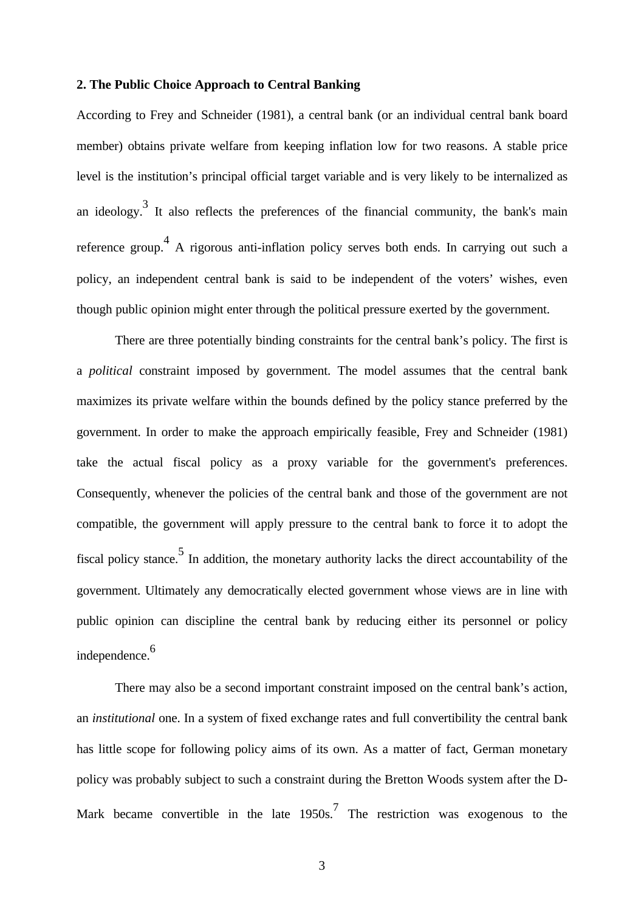#### **2. The Public Choice Approach to Central Banking**

According to Frey and Schneider (1981), a central bank (or an individual central bank board member) obtains private welfare from keeping inflation low for two reasons. A stable price level is the institution's principal official target variable and is very likely to be internalized as an ideology.<sup>3</sup> It also reflects the preferences of the financial community, the bank's main reference group.<sup>4</sup> A rigorous anti-inflation policy serves both ends. In carrying out such a policy, an independent central bank is said to be independent of the voters' wishes, even though public opinion might enter through the political pressure exerted by the government.

There are three potentially binding constraints for the central bank's policy. The first is a *political* constraint imposed by government. The model assumes that the central bank maximizes its private welfare within the bounds defined by the policy stance preferred by the government. In order to make the approach empirically feasible, Frey and Schneider (1981) take the actual fiscal policy as a proxy variable for the government's preferences. Consequently, whenever the policies of the central bank and those of the government are not compatible, the government will apply pressure to the central bank to force it to adopt the fiscal policy stance.<sup>5</sup> In addition, the monetary authority lacks the direct accountability of the government. Ultimately any democratically elected government whose views are in line with public opinion can discipline the central bank by reducing either its personnel or policy independence.<sup>6</sup>

There may also be a second important constraint imposed on the central bank's action, an *institutional* one. In a system of fixed exchange rates and full convertibility the central bank has little scope for following policy aims of its own. As a matter of fact, German monetary policy was probably subject to such a constraint during the Bretton Woods system after the D-Mark became convertible in the late  $1950s$ .<sup>7</sup> The restriction was exogenous to the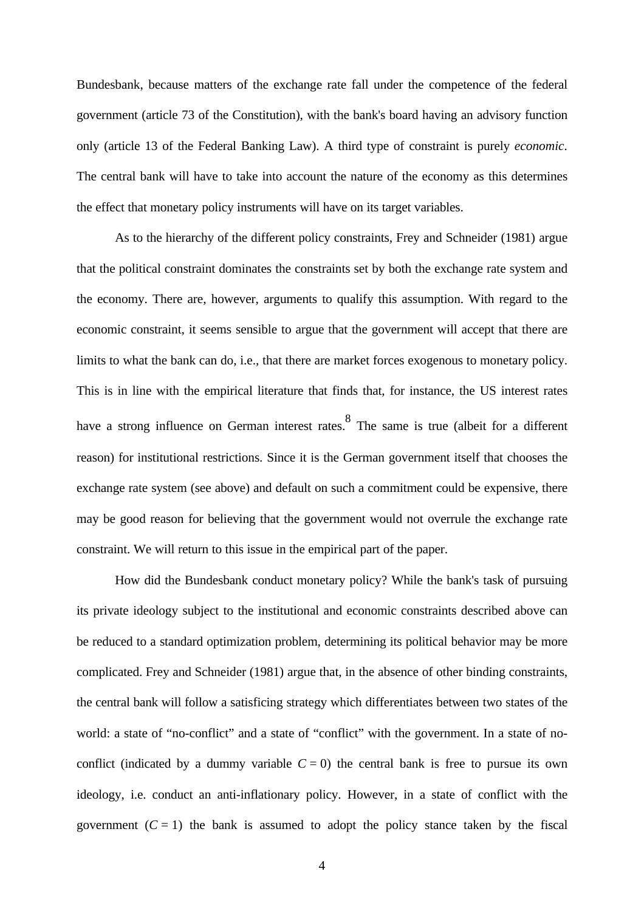Bundesbank, because matters of the exchange rate fall under the competence of the federal government (article 73 of the Constitution), with the bank's board having an advisory function only (article 13 of the Federal Banking Law). A third type of constraint is purely *economic*. The central bank will have to take into account the nature of the economy as this determines the effect that monetary policy instruments will have on its target variables.

As to the hierarchy of the different policy constraints, Frey and Schneider (1981) argue that the political constraint dominates the constraints set by both the exchange rate system and the economy. There are, however, arguments to qualify this assumption. With regard to the economic constraint, it seems sensible to argue that the government will accept that there are limits to what the bank can do, i.e., that there are market forces exogenous to monetary policy. This is in line with the empirical literature that finds that, for instance, the US interest rates have a strong influence on German interest rates.<sup>8</sup> The same is true (albeit for a different reason) for institutional restrictions. Since it is the German government itself that chooses the exchange rate system (see above) and default on such a commitment could be expensive, there may be good reason for believing that the government would not overrule the exchange rate constraint. We will return to this issue in the empirical part of the paper.

How did the Bundesbank conduct monetary policy? While the bank's task of pursuing its private ideology subject to the institutional and economic constraints described above can be reduced to a standard optimization problem, determining its political behavior may be more complicated. Frey and Schneider (1981) argue that, in the absence of other binding constraints, the central bank will follow a satisficing strategy which differentiates between two states of the world: a state of "no-conflict" and a state of "conflict" with the government. In a state of noconflict (indicated by a dummy variable  $C = 0$ ) the central bank is free to pursue its own ideology, i.e. conduct an anti-inflationary policy. However, in a state of conflict with the government  $(C = 1)$  the bank is assumed to adopt the policy stance taken by the fiscal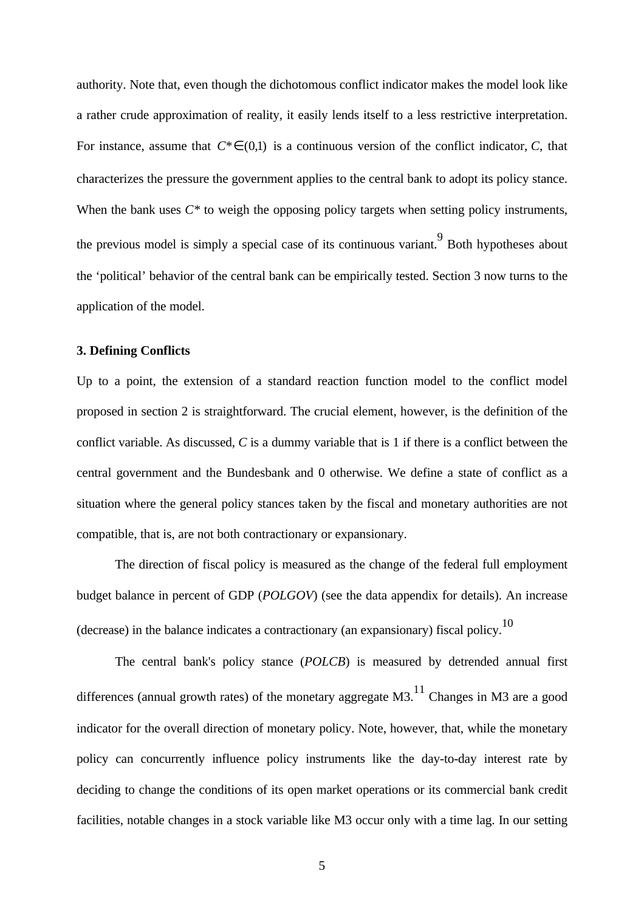authority. Note that, even though the dichotomous conflict indicator makes the model look like a rather crude approximation of reality, it easily lends itself to a less restrictive interpretation. For instance, assume that  $C^* \in (0,1)$  is a continuous version of the conflict indicator, *C*, that characterizes the pressure the government applies to the central bank to adopt its policy stance. When the bank uses  $C^*$  to weigh the opposing policy targets when setting policy instruments, the previous model is simply a special case of its continuous variant. Both hypotheses about the 'political' behavior of the central bank can be empirically tested. Section 3 now turns to the application of the model.

# **3. Defining Conflicts**

Up to a point, the extension of a standard reaction function model to the conflict model proposed in section 2 is straightforward. The crucial element, however, is the definition of the conflict variable. As discussed, *C* is a dummy variable that is 1 if there is a conflict between the central government and the Bundesbank and 0 otherwise. We define a state of conflict as a situation where the general policy stances taken by the fiscal and monetary authorities are not compatible, that is, are not both contractionary or expansionary.

The direction of fiscal policy is measured as the change of the federal full employment budget balance in percent of GDP (*POLGOV*) (see the data appendix for details). An increase (decrease) in the balance indicates a contractionary (an expansionary) fiscal policy.<sup>10</sup>

The central bank's policy stance (*POLCB*) is measured by detrended annual first differences (annual growth rates) of the monetary aggregate  $M3$ .<sup>11</sup> Changes in M3 are a good indicator for the overall direction of monetary policy. Note, however, that, while the monetary policy can concurrently influence policy instruments like the day-to-day interest rate by deciding to change the conditions of its open market operations or its commercial bank credit facilities, notable changes in a stock variable like M3 occur only with a time lag. In our setting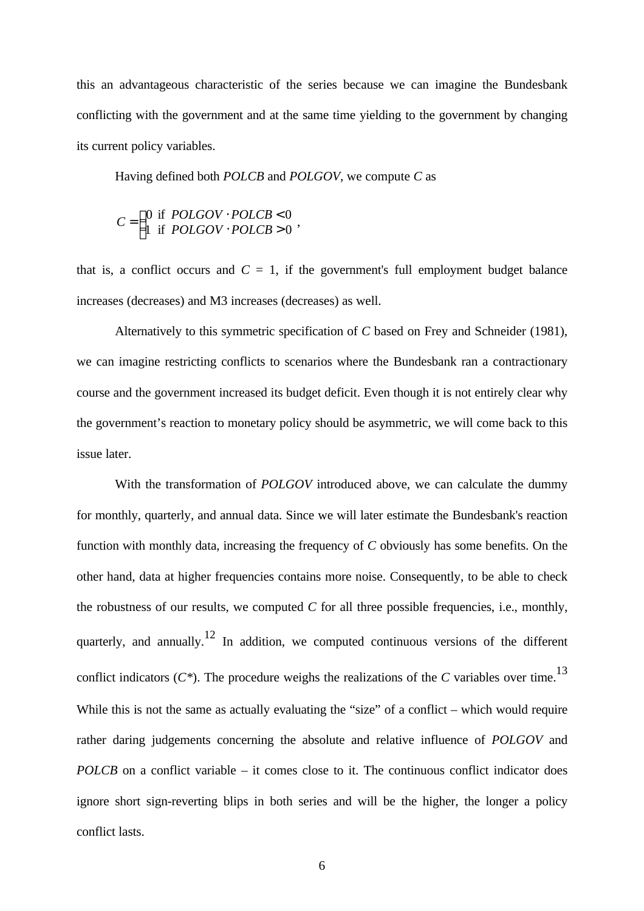this an advantageous characteristic of the series because we can imagine the Bundesbank conflicting with the government and at the same time yielding to the government by changing its current policy variables.

Having defined both *POLCB* and *POLGOV*, we compute *C* as

$$
C = \begin{cases} 0 & \text{if POLGOV} \cdot POLCB < 0 \\ 1 & \text{if POLGOV} \cdot POLCB > 0 \end{cases}
$$

that is, a conflict occurs and  $C = 1$ , if the government's full employment budget balance increases (decreases) and M3 increases (decreases) as well.

Alternatively to this symmetric specification of *C* based on Frey and Schneider (1981), we can imagine restricting conflicts to scenarios where the Bundesbank ran a contractionary course and the government increased its budget deficit. Even though it is not entirely clear why the government's reaction to monetary policy should be asymmetric, we will come back to this issue later.

With the transformation of *POLGOV* introduced above, we can calculate the dummy for monthly, quarterly, and annual data. Since we will later estimate the Bundesbank's reaction function with monthly data, increasing the frequency of *C* obviously has some benefits. On the other hand, data at higher frequencies contains more noise. Consequently, to be able to check the robustness of our results, we computed  $C$  for all three possible frequencies, i.e., monthly, quarterly, and annually.<sup>12</sup> In addition, we computed continuous versions of the different conflict indicators  $(C^*)$ . The procedure weighs the realizations of the *C* variables over time.<sup>13</sup> While this is not the same as actually evaluating the "size" of a conflict – which would require rather daring judgements concerning the absolute and relative influence of *POLGOV* and *POLCB* on a conflict variable – it comes close to it. The continuous conflict indicator does ignore short sign-reverting blips in both series and will be the higher, the longer a policy conflict lasts.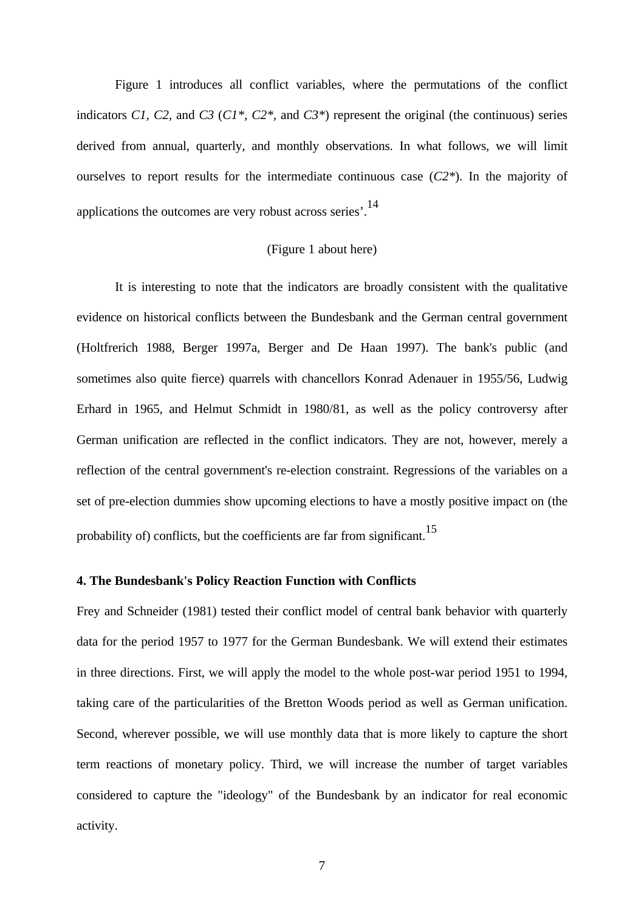Figure 1 introduces all conflict variables, where the permutations of the conflict indicators *C1*, *C2*, and *C3* (*C1\*, C2\*,* and *C3\**) represent the original (the continuous) series derived from annual, quarterly, and monthly observations. In what follows, we will limit ourselves to report results for the intermediate continuous case (*C2\**). In the majority of applications the outcomes are very robust across series'.<sup>14</sup>

# (Figure 1 about here)

It is interesting to note that the indicators are broadly consistent with the qualitative evidence on historical conflicts between the Bundesbank and the German central government (Holtfrerich 1988, Berger 1997a, Berger and De Haan 1997). The bank's public (and sometimes also quite fierce) quarrels with chancellors Konrad Adenauer in 1955/56, Ludwig Erhard in 1965, and Helmut Schmidt in 1980/81, as well as the policy controversy after German unification are reflected in the conflict indicators. They are not, however, merely a reflection of the central government's re-election constraint. Regressions of the variables on a set of pre-election dummies show upcoming elections to have a mostly positive impact on (the probability of) conflicts, but the coefficients are far from significant.<sup>15</sup>

#### **4. The Bundesbank's Policy Reaction Function with Conflicts**

Frey and Schneider (1981) tested their conflict model of central bank behavior with quarterly data for the period 1957 to 1977 for the German Bundesbank. We will extend their estimates in three directions. First, we will apply the model to the whole post-war period 1951 to 1994, taking care of the particularities of the Bretton Woods period as well as German unification. Second, wherever possible, we will use monthly data that is more likely to capture the short term reactions of monetary policy. Third, we will increase the number of target variables considered to capture the "ideology" of the Bundesbank by an indicator for real economic activity.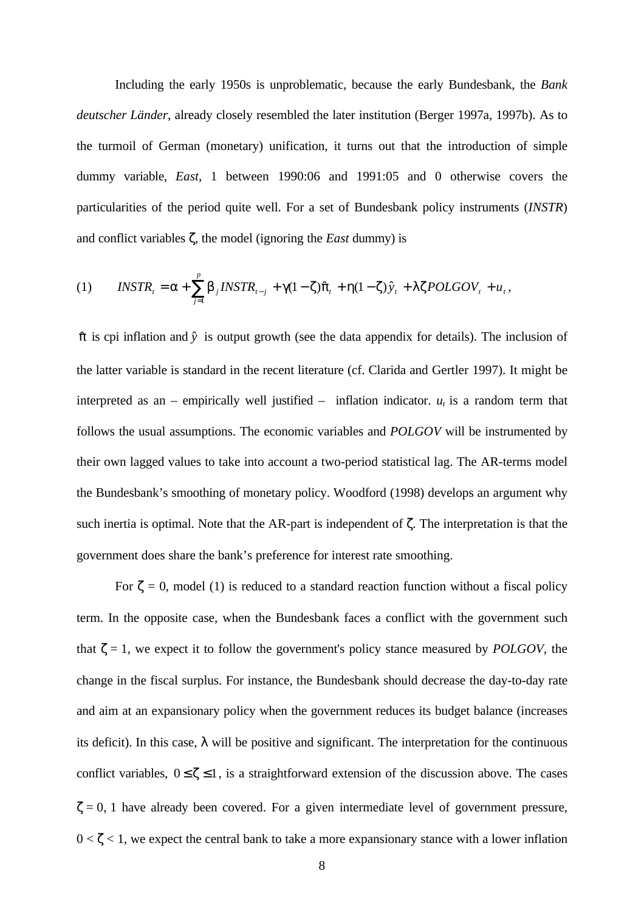Including the early 1950s is unproblematic, because the early Bundesbank, the *Bank deutscher Länder*, already closely resembled the later institution (Berger 1997a, 1997b). As to the turmoil of German (monetary) unification, it turns out that the introduction of simple dummy variable, *East*, 1 between 1990:06 and 1991:05 and 0 otherwise covers the particularities of the period quite well. For a set of Bundesbank policy instruments (*INSTR*) and conflict variables ζ, the model (ignoring the *East* dummy) is

(1) 
$$
INSTR_t = \alpha + \sum_{j=1}^p \beta_j INSTR_{t-j} + \gamma (1 - \zeta) \hat{\pi}_t + \eta (1 - \zeta) \hat{y}_t + \lambda \zeta POLGOV_t + u_t,
$$

 $\hat{\pi}$  is cpi inflation and  $\hat{y}$  is output growth (see the data appendix for details). The inclusion of the latter variable is standard in the recent literature (cf. Clarida and Gertler 1997). It might be interpreted as an – empirically well justified – inflation indicator.  $u_t$  is a random term that follows the usual assumptions. The economic variables and *POLGOV* will be instrumented by their own lagged values to take into account a two-period statistical lag. The AR-terms model the Bundesbank's smoothing of monetary policy. Woodford (1998) develops an argument why such inertia is optimal. Note that the AR-part is independent of ζ. The interpretation is that the government does share the bank's preference for interest rate smoothing.

For  $\zeta = 0$ , model (1) is reduced to a standard reaction function without a fiscal policy term. In the opposite case, when the Bundesbank faces a conflict with the government such that  $\zeta = 1$ , we expect it to follow the government's policy stance measured by *POLGOV*, the change in the fiscal surplus. For instance, the Bundesbank should decrease the day-to-day rate and aim at an expansionary policy when the government reduces its budget balance (increases its deficit). In this case,  $\lambda$  will be positive and significant. The interpretation for the continuous conflict variables,  $0 \le \zeta \le 1$ , is a straightforward extension of the discussion above. The cases  $\zeta = 0$ , 1 have already been covered. For a given intermediate level of government pressure,  $0 < \zeta < 1$ , we expect the central bank to take a more expansionary stance with a lower inflation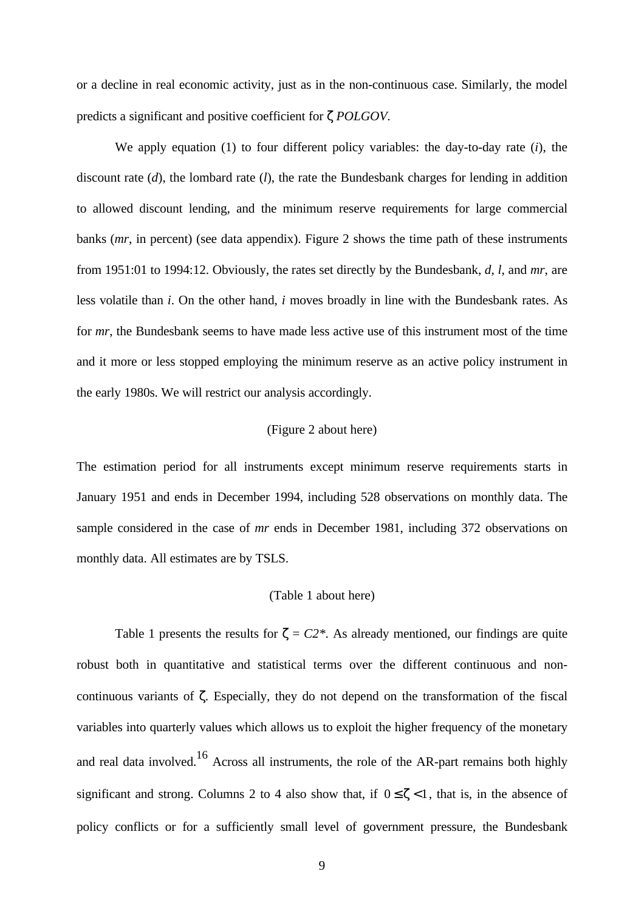or a decline in real economic activity, just as in the non-continuous case. Similarly, the model predicts a significant and positive coefficient for ζ *POLGOV*.

We apply equation (1) to four different policy variables: the day-to-day rate (*i*), the discount rate (*d*), the lombard rate (*l*), the rate the Bundesbank charges for lending in addition to allowed discount lending, and the minimum reserve requirements for large commercial banks (*mr*, in percent) (see data appendix). Figure 2 shows the time path of these instruments from 1951:01 to 1994:12. Obviously, the rates set directly by the Bundesbank, *d*, *l*, and *mr*, are less volatile than *i*. On the other hand, *i* moves broadly in line with the Bundesbank rates. As for *mr*, the Bundesbank seems to have made less active use of this instrument most of the time and it more or less stopped employing the minimum reserve as an active policy instrument in the early 1980s. We will restrict our analysis accordingly.

### (Figure 2 about here)

The estimation period for all instruments except minimum reserve requirements starts in January 1951 and ends in December 1994, including 528 observations on monthly data. The sample considered in the case of *mr* ends in December 1981, including 372 observations on monthly data. All estimates are by TSLS.

#### (Table 1 about here)

Table 1 presents the results for  $\zeta = C2^*$ . As already mentioned, our findings are quite robust both in quantitative and statistical terms over the different continuous and noncontinuous variants of ζ. Especially, they do not depend on the transformation of the fiscal variables into quarterly values which allows us to exploit the higher frequency of the monetary and real data involved.<sup>16</sup> Across all instruments, the role of the AR-part remains both highly significant and strong. Columns 2 to 4 also show that, if  $0 \leq \zeta < 1$ , that is, in the absence of policy conflicts or for a sufficiently small level of government pressure, the Bundesbank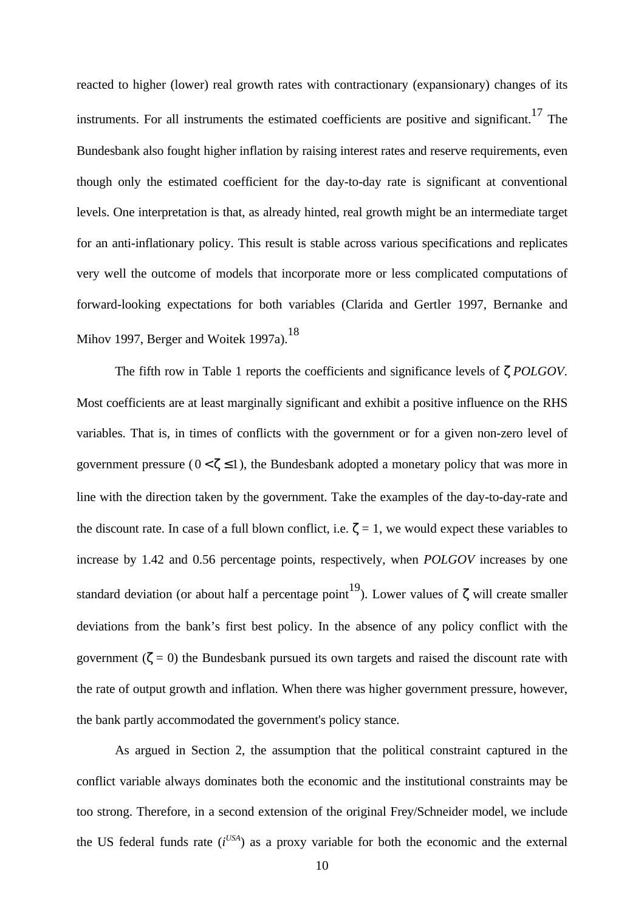reacted to higher (lower) real growth rates with contractionary (expansionary) changes of its instruments. For all instruments the estimated coefficients are positive and significant.<sup>17</sup> The Bundesbank also fought higher inflation by raising interest rates and reserve requirements, even though only the estimated coefficient for the day-to-day rate is significant at conventional levels. One interpretation is that, as already hinted, real growth might be an intermediate target for an anti-inflationary policy. This result is stable across various specifications and replicates very well the outcome of models that incorporate more or less complicated computations of forward-looking expectations for both variables (Clarida and Gertler 1997, Bernanke and Mihov 1997, Berger and Woitek 1997a).<sup>18</sup>

The fifth row in Table 1 reports the coefficients and significance levels of ζ *POLGOV*. Most coefficients are at least marginally significant and exhibit a positive influence on the RHS variables. That is, in times of conflicts with the government or for a given non-zero level of government pressure ( $0 < \zeta \le 1$ ), the Bundesbank adopted a monetary policy that was more in line with the direction taken by the government. Take the examples of the day-to-day-rate and the discount rate. In case of a full blown conflict, i.e.  $\zeta = 1$ , we would expect these variables to increase by 1.42 and 0.56 percentage points, respectively, when *POLGOV* increases by one standard deviation (or about half a percentage point<sup>19</sup>). Lower values of  $\zeta$  will create smaller deviations from the bank's first best policy. In the absence of any policy conflict with the government ( $\zeta = 0$ ) the Bundesbank pursued its own targets and raised the discount rate with the rate of output growth and inflation. When there was higher government pressure, however, the bank partly accommodated the government's policy stance.

As argued in Section 2, the assumption that the political constraint captured in the conflict variable always dominates both the economic and the institutional constraints may be too strong. Therefore, in a second extension of the original Frey/Schneider model, we include the US federal funds rate  $(i^{USA})$  as a proxy variable for both the economic and the external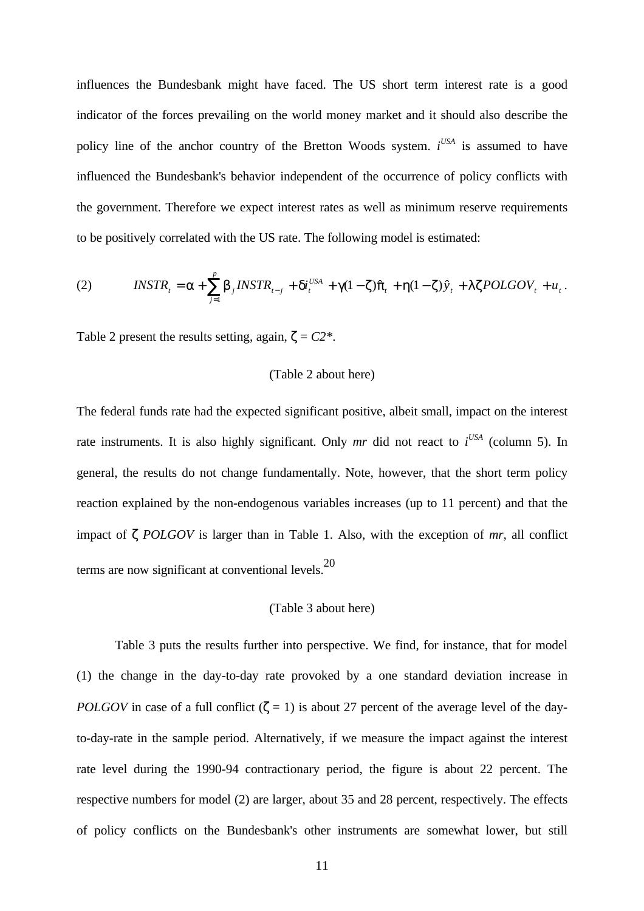influences the Bundesbank might have faced. The US short term interest rate is a good indicator of the forces prevailing on the world money market and it should also describe the policy line of the anchor country of the Bretton Woods system. *i*<sup>USA</sup> is assumed to have influenced the Bundesbank's behavior independent of the occurrence of policy conflicts with the government. Therefore we expect interest rates as well as minimum reserve requirements to be positively correlated with the US rate. The following model is estimated:

(2) 
$$
INSTR_t = \alpha + \sum_{j=1}^p \beta_j INSTR_{t-j} + \delta i_t^{USA} + \gamma (1 - \zeta) \hat{\pi}_t + \eta (1 - \zeta) \hat{y}_t + \lambda \zeta POLGOV_t + u_t.
$$

Table 2 present the results setting, again,  $\zeta = C2^*$ .

#### (Table 2 about here)

The federal funds rate had the expected significant positive, albeit small, impact on the interest rate instruments. It is also highly significant. Only *mr* did not react to  $i^{USA}$  (column 5). In general, the results do not change fundamentally. Note, however, that the short term policy reaction explained by the non-endogenous variables increases (up to 11 percent) and that the impact of ζ *POLGOV* is larger than in Table 1. Also, with the exception of *mr*, all conflict terms are now significant at conventional levels.<sup>20</sup>

#### (Table 3 about here)

Table 3 puts the results further into perspective. We find, for instance, that for model (1) the change in the day-to-day rate provoked by a one standard deviation increase in *POLGOV* in case of a full conflict  $(\zeta = 1)$  is about 27 percent of the average level of the dayto-day-rate in the sample period. Alternatively, if we measure the impact against the interest rate level during the 1990-94 contractionary period, the figure is about 22 percent. The respective numbers for model (2) are larger, about 35 and 28 percent, respectively. The effects of policy conflicts on the Bundesbank's other instruments are somewhat lower, but still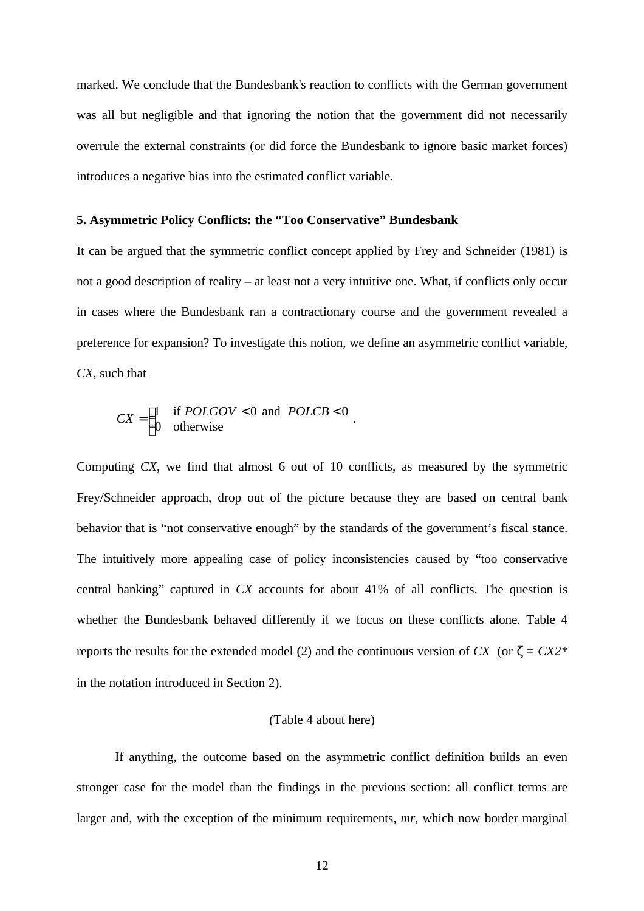marked. We conclude that the Bundesbank's reaction to conflicts with the German government was all but negligible and that ignoring the notion that the government did not necessarily overrule the external constraints (or did force the Bundesbank to ignore basic market forces) introduces a negative bias into the estimated conflict variable.

# **5. Asymmetric Policy Conflicts: the "Too Conservative" Bundesbank**

It can be argued that the symmetric conflict concept applied by Frey and Schneider (1981) is not a good description of reality – at least not a very intuitive one. What, if conflicts only occur in cases where the Bundesbank ran a contractionary course and the government revealed a preference for expansion? To investigate this notion, we define an asymmetric conflict variable, *CX*, such that

$$
CX = \begin{cases} 1 & \text{if } POLGOV < 0 \text{ and } POLCB < 0 \\ 0 & \text{otherwise} \end{cases}.
$$

Computing *CX*, we find that almost 6 out of 10 conflicts, as measured by the symmetric Frey/Schneider approach, drop out of the picture because they are based on central bank behavior that is "not conservative enough" by the standards of the government's fiscal stance. The intuitively more appealing case of policy inconsistencies caused by "too conservative central banking" captured in *CX* accounts for about 41% of all conflicts. The question is whether the Bundesbank behaved differently if we focus on these conflicts alone. Table 4 reports the results for the extended model (2) and the continuous version of  $CX$  (or  $\zeta = CX2$ <sup>\*</sup> in the notation introduced in Section 2).

# (Table 4 about here)

If anything, the outcome based on the asymmetric conflict definition builds an even stronger case for the model than the findings in the previous section: all conflict terms are larger and, with the exception of the minimum requirements, *mr*, which now border marginal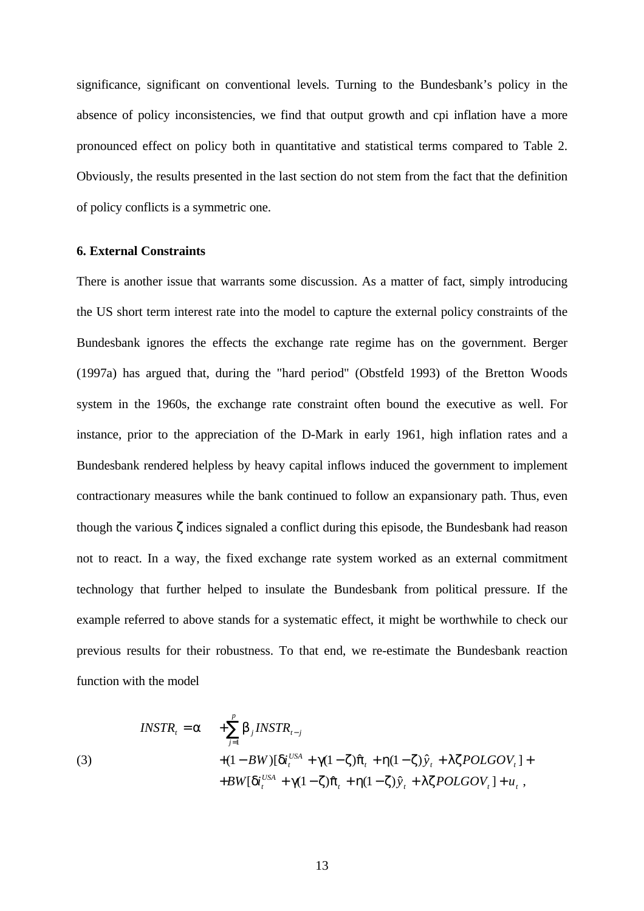significance, significant on conventional levels. Turning to the Bundesbank's policy in the absence of policy inconsistencies, we find that output growth and cpi inflation have a more pronounced effect on policy both in quantitative and statistical terms compared to Table 2. Obviously, the results presented in the last section do not stem from the fact that the definition of policy conflicts is a symmetric one.

# **6. External Constraints**

There is another issue that warrants some discussion. As a matter of fact, simply introducing the US short term interest rate into the model to capture the external policy constraints of the Bundesbank ignores the effects the exchange rate regime has on the government. Berger (1997a) has argued that, during the "hard period" (Obstfeld 1993) of the Bretton Woods system in the 1960s, the exchange rate constraint often bound the executive as well. For instance, prior to the appreciation of the D-Mark in early 1961, high inflation rates and a Bundesbank rendered helpless by heavy capital inflows induced the government to implement contractionary measures while the bank continued to follow an expansionary path. Thus, even though the various ζ indices signaled a conflict during this episode, the Bundesbank had reason not to react. In a way, the fixed exchange rate system worked as an external commitment technology that further helped to insulate the Bundesbank from political pressure. If the example referred to above stands for a systematic effect, it might be worthwhile to check our previous results for their robustness. To that end, we re-estimate the Bundesbank reaction function with the model

$$
INSTR_t = \alpha + \sum_{j=1}^p \beta_j INSTR_{t-j}
$$
  
(3)  

$$
+ (1 - BW)[\delta i_t^{USA} + \gamma(1 - \zeta)\hat{\pi}_t + \eta(1 - \zeta)\hat{y}_t + \lambda \zeta POLGOV_t] +
$$
  

$$
+ BW[\delta i_t^{USA} + \gamma(1 - \zeta)\hat{\pi}_t + \eta(1 - \zeta)\hat{y}_t + \lambda \zeta POLGOV_t] + u_t,
$$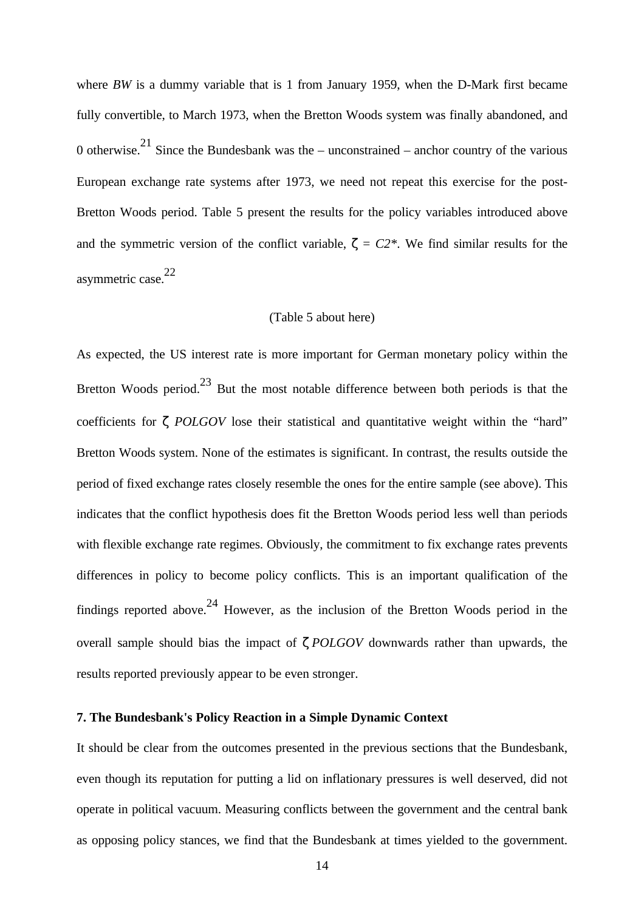where *BW* is a dummy variable that is 1 from January 1959, when the D-Mark first became fully convertible, to March 1973, when the Bretton Woods system was finally abandoned, and 0 otherwise.<sup>21</sup> Since the Bundesbank was the – unconstrained – anchor country of the various European exchange rate systems after 1973, we need not repeat this exercise for the post-Bretton Woods period. Table 5 present the results for the policy variables introduced above and the symmetric version of the conflict variable,  $\zeta = C2^*$ . We find similar results for the asymmetric case.<sup>22</sup>

### (Table 5 about here)

As expected, the US interest rate is more important for German monetary policy within the Bretton Woods period.<sup>23</sup> But the most notable difference between both periods is that the coefficients for ζ *POLGOV* lose their statistical and quantitative weight within the "hard" Bretton Woods system. None of the estimates is significant. In contrast, the results outside the period of fixed exchange rates closely resemble the ones for the entire sample (see above). This indicates that the conflict hypothesis does fit the Bretton Woods period less well than periods with flexible exchange rate regimes. Obviously, the commitment to fix exchange rates prevents differences in policy to become policy conflicts. This is an important qualification of the findings reported above.<sup>24</sup> However, as the inclusion of the Bretton Woods period in the overall sample should bias the impact of ζ *POLGOV* downwards rather than upwards, the results reported previously appear to be even stronger.

# **7. The Bundesbank's Policy Reaction in a Simple Dynamic Context**

It should be clear from the outcomes presented in the previous sections that the Bundesbank, even though its reputation for putting a lid on inflationary pressures is well deserved, did not operate in political vacuum. Measuring conflicts between the government and the central bank as opposing policy stances, we find that the Bundesbank at times yielded to the government.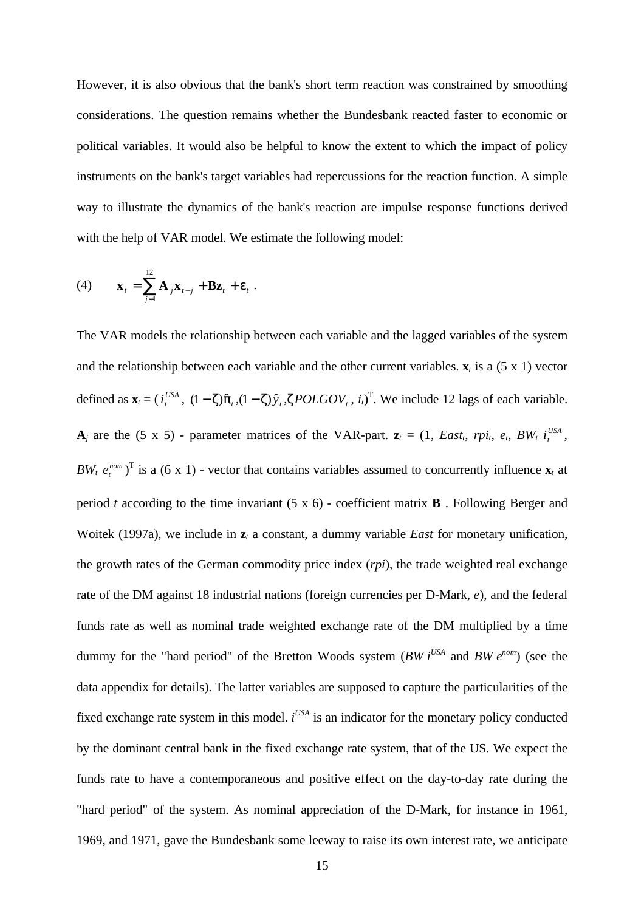However, it is also obvious that the bank's short term reaction was constrained by smoothing considerations. The question remains whether the Bundesbank reacted faster to economic or political variables. It would also be helpful to know the extent to which the impact of policy instruments on the bank's target variables had repercussions for the reaction function. A simple way to illustrate the dynamics of the bank's reaction are impulse response functions derived with the help of VAR model. We estimate the following model:

(4) 
$$
\mathbf{x}_t = \sum_{j=1}^{12} \mathbf{A}_j \mathbf{x}_{t-j} + \mathbf{B} \mathbf{z}_t + \varepsilon_t.
$$

The VAR models the relationship between each variable and the lagged variables of the system and the relationship between each variable and the other current variables.  $\mathbf{x}_t$  is a (5 x 1) vector defined as  $\mathbf{x}_t = (i_t^t)$  $U_s^{USA}$ ,  $(1-\zeta)\hat{\pi}_t$ ,  $(1-\zeta)\hat{y}_t$ ,  $\zeta POLGOV_t$ ,  $i_t$ <sup>T</sup>. We include 12 lags of each variable.  $\bf{A}_j$  are the (5 x 5) - parameter matrices of the VAR-part.  $\bf{z}_t = (1, East_t, rpi_t, e_t, BW_t, i_t)$ *USA* , *BW<sub>t</sub>*  $e_t^{nom}$ )<sup>T</sup> is a (6 x 1) - vector that contains variables assumed to concurrently influence  $\mathbf{x}_t$  at period *t* according to the time invariant (5 x 6) - coefficient matrix **B** . Following Berger and Woitek (1997a), we include in **z***t* a constant, a dummy variable *East* for monetary unification, the growth rates of the German commodity price index (*rpi*), the trade weighted real exchange rate of the DM against 18 industrial nations (foreign currencies per D-Mark, *e*), and the federal funds rate as well as nominal trade weighted exchange rate of the DM multiplied by a time dummy for the "hard period" of the Bretton Woods system (*BW*  $i^{USA}$  and  $BW e^{nom}$ ) (see the data appendix for details). The latter variables are supposed to capture the particularities of the fixed exchange rate system in this model.  $i^{USA}$  is an indicator for the monetary policy conducted by the dominant central bank in the fixed exchange rate system, that of the US. We expect the funds rate to have a contemporaneous and positive effect on the day-to-day rate during the "hard period" of the system. As nominal appreciation of the D-Mark, for instance in 1961, 1969, and 1971, gave the Bundesbank some leeway to raise its own interest rate, we anticipate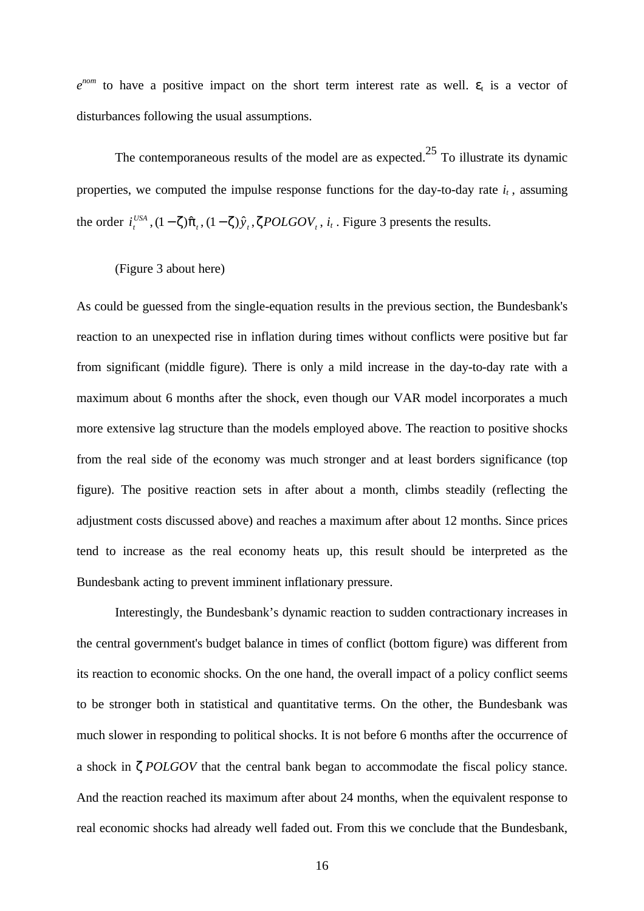$e^{nom}$  to have a positive impact on the short term interest rate as well.  $\varepsilon_t$  is a vector of disturbances following the usual assumptions.

The contemporaneous results of the model are as expected.<sup>25</sup> To illustrate its dynamic properties, we computed the impulse response functions for the day-to-day rate  $i_t$ , assuming the order *i t*  $\int_{t}^{USA}$ ,  $(1-\zeta)\hat{\pi}_t$ ,  $(1-\zeta)\hat{y}_t$ ,  $\zeta \text{POLGOV}_t$ ,  $i_t$ . Figure 3 presents the results.

# (Figure 3 about here)

As could be guessed from the single-equation results in the previous section, the Bundesbank's reaction to an unexpected rise in inflation during times without conflicts were positive but far from significant (middle figure). There is only a mild increase in the day-to-day rate with a maximum about 6 months after the shock, even though our VAR model incorporates a much more extensive lag structure than the models employed above. The reaction to positive shocks from the real side of the economy was much stronger and at least borders significance (top figure). The positive reaction sets in after about a month, climbs steadily (reflecting the adjustment costs discussed above) and reaches a maximum after about 12 months. Since prices tend to increase as the real economy heats up, this result should be interpreted as the Bundesbank acting to prevent imminent inflationary pressure.

Interestingly, the Bundesbank's dynamic reaction to sudden contractionary increases in the central government's budget balance in times of conflict (bottom figure) was different from its reaction to economic shocks. On the one hand, the overall impact of a policy conflict seems to be stronger both in statistical and quantitative terms. On the other, the Bundesbank was much slower in responding to political shocks. It is not before 6 months after the occurrence of a shock in ζ *POLGOV* that the central bank began to accommodate the fiscal policy stance. And the reaction reached its maximum after about 24 months, when the equivalent response to real economic shocks had already well faded out. From this we conclude that the Bundesbank,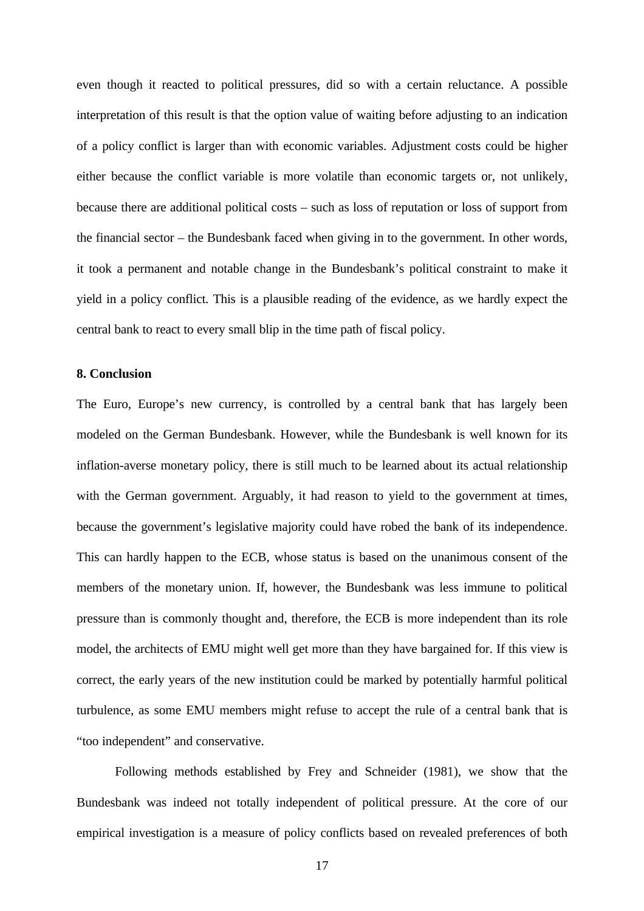even though it reacted to political pressures, did so with a certain reluctance. A possible interpretation of this result is that the option value of waiting before adjusting to an indication of a policy conflict is larger than with economic variables. Adjustment costs could be higher either because the conflict variable is more volatile than economic targets or, not unlikely, because there are additional political costs – such as loss of reputation or loss of support from the financial sector – the Bundesbank faced when giving in to the government. In other words, it took a permanent and notable change in the Bundesbank's political constraint to make it yield in a policy conflict. This is a plausible reading of the evidence, as we hardly expect the central bank to react to every small blip in the time path of fiscal policy.

#### **8. Conclusion**

The Euro, Europe's new currency, is controlled by a central bank that has largely been modeled on the German Bundesbank. However, while the Bundesbank is well known for its inflation-averse monetary policy, there is still much to be learned about its actual relationship with the German government. Arguably, it had reason to yield to the government at times, because the government's legislative majority could have robed the bank of its independence. This can hardly happen to the ECB, whose status is based on the unanimous consent of the members of the monetary union. If, however, the Bundesbank was less immune to political pressure than is commonly thought and, therefore, the ECB is more independent than its role model, the architects of EMU might well get more than they have bargained for. If this view is correct, the early years of the new institution could be marked by potentially harmful political turbulence, as some EMU members might refuse to accept the rule of a central bank that is "too independent" and conservative.

Following methods established by Frey and Schneider (1981), we show that the Bundesbank was indeed not totally independent of political pressure. At the core of our empirical investigation is a measure of policy conflicts based on revealed preferences of both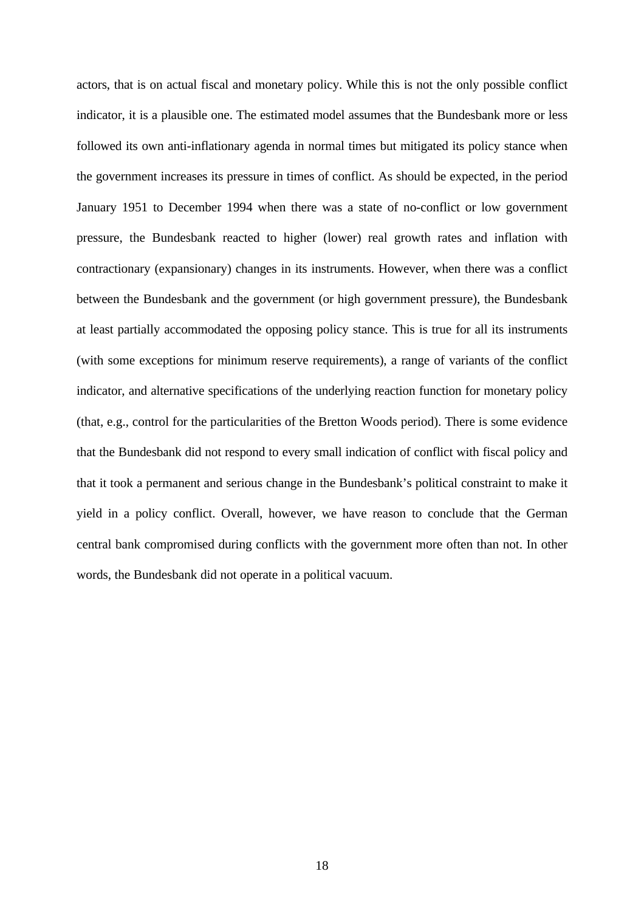actors, that is on actual fiscal and monetary policy. While this is not the only possible conflict indicator, it is a plausible one. The estimated model assumes that the Bundesbank more or less followed its own anti-inflationary agenda in normal times but mitigated its policy stance when the government increases its pressure in times of conflict. As should be expected, in the period January 1951 to December 1994 when there was a state of no-conflict or low government pressure, the Bundesbank reacted to higher (lower) real growth rates and inflation with contractionary (expansionary) changes in its instruments. However, when there was a conflict between the Bundesbank and the government (or high government pressure), the Bundesbank at least partially accommodated the opposing policy stance. This is true for all its instruments (with some exceptions for minimum reserve requirements), a range of variants of the conflict indicator, and alternative specifications of the underlying reaction function for monetary policy (that, e.g., control for the particularities of the Bretton Woods period). There is some evidence that the Bundesbank did not respond to every small indication of conflict with fiscal policy and that it took a permanent and serious change in the Bundesbank's political constraint to make it yield in a policy conflict. Overall, however, we have reason to conclude that the German central bank compromised during conflicts with the government more often than not. In other words, the Bundesbank did not operate in a political vacuum.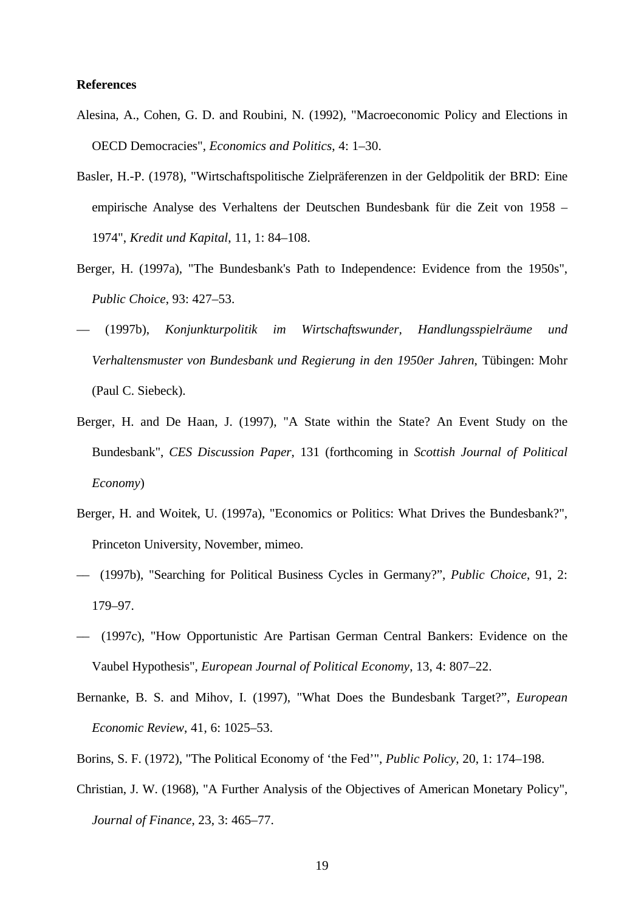### **References**

- Alesina, A., Cohen, G. D. and Roubini, N. (1992), "Macroeconomic Policy and Elections in OECD Democracies", *Economics and Politics*, 4: 1–30.
- Basler, H.-P. (1978), "Wirtschaftspolitische Zielpräferenzen in der Geldpolitik der BRD: Eine empirische Analyse des Verhaltens der Deutschen Bundesbank für die Zeit von 1958 – 1974", *Kredit und Kapital*, 11, 1: 84–108.
- Berger, H. (1997a), "The Bundesbank's Path to Independence: Evidence from the 1950s", *Public Choice*, 93: 427–53.
- –– (1997b), *Konjunkturpolitik im Wirtschaftswunder, Handlungsspielräume und Verhaltensmuster von Bundesbank und Regierung in den 1950er Jahren*, Tübingen: Mohr (Paul C. Siebeck).
- Berger, H. and De Haan, J. (1997), "A State within the State? An Event Study on the Bundesbank", *CES Discussion Paper*, 131 (forthcoming in *Scottish Journal of Political Economy*)
- Berger, H. and Woitek, U. (1997a), "Economics or Politics: What Drives the Bundesbank?", Princeton University, November, mimeo.
- –– (1997b), "Searching for Political Business Cycles in Germany?", *Public Choice*, 91, 2: 179–97.
- –– (1997c), "How Opportunistic Are Partisan German Central Bankers: Evidence on the Vaubel Hypothesis", *European Journal of Political Economy*, 13, 4: 807–22.
- Bernanke, B. S. and Mihov, I. (1997), "What Does the Bundesbank Target?", *European Economic Review*, 41, 6: 1025–53.
- Borins, S. F. (1972), "The Political Economy of 'the Fed'", *Public Policy*, 20, 1: 174–198.
- Christian, J. W. (1968), "A Further Analysis of the Objectives of American Monetary Policy", *Journal of Finance*, 23, 3: 465–77.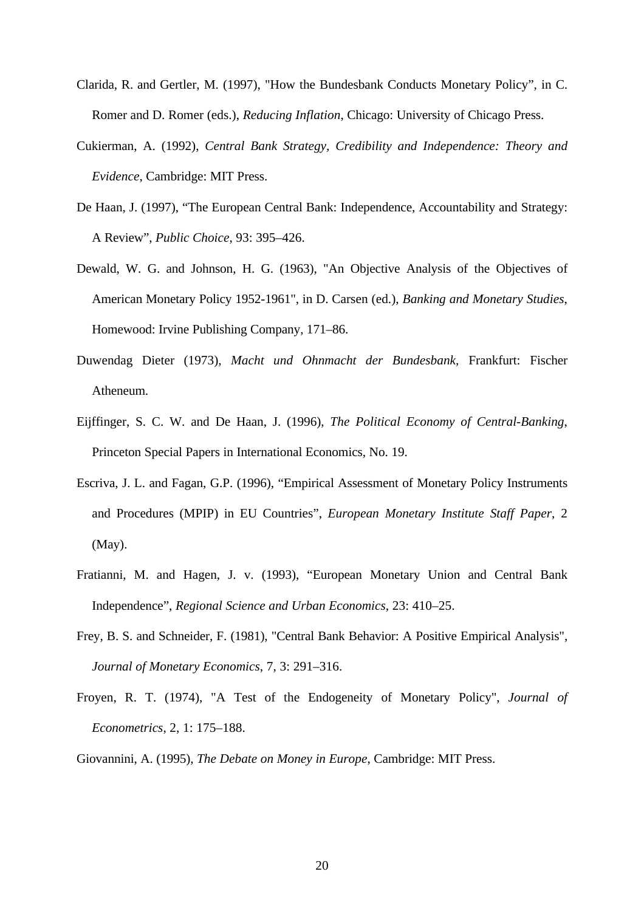- Clarida, R. and Gertler, M. (1997), "How the Bundesbank Conducts Monetary Policy", in C. Romer and D. Romer (eds.), *Reducing Inflation*, Chicago: University of Chicago Press.
- Cukierman, A. (1992), *Central Bank Strategy, Credibility and Independence: Theory and Evidence*, Cambridge: MIT Press.
- De Haan, J. (1997), "The European Central Bank: Independence, Accountability and Strategy: A Review", *Public Choice*, 93: 395–426.
- Dewald, W. G. and Johnson, H. G. (1963), "An Objective Analysis of the Objectives of American Monetary Policy 1952-1961", in D. Carsen (ed.), *Banking and Monetary Studies*, Homewood: Irvine Publishing Company, 171–86.
- Duwendag Dieter (1973), *Macht und Ohnmacht der Bundesbank,* Frankfurt: Fischer Atheneum.
- Eijffinger, S. C. W. and De Haan, J. (1996), *The Political Economy of Central-Banking*, Princeton Special Papers in International Economics, No. 19.
- Escriva, J. L. and Fagan, G.P. (1996), "Empirical Assessment of Monetary Policy Instruments and Procedures (MPIP) in EU Countries", *European Monetary Institute Staff Paper*, 2 (May).
- Fratianni, M. and Hagen, J. v. (1993), "European Monetary Union and Central Bank Independence", *Regional Science and Urban Economics*, 23: 410–25.
- Frey, B. S. and Schneider, F. (1981), "Central Bank Behavior: A Positive Empirical Analysis", *Journal of Monetary Economics*, 7, 3: 291–316.
- Froyen, R. T. (1974), "A Test of the Endogeneity of Monetary Policy", *Journal of Econometrics*, 2, 1: 175–188.

Giovannini, A. (1995), *The Debate on Money in Europe*, Cambridge: MIT Press.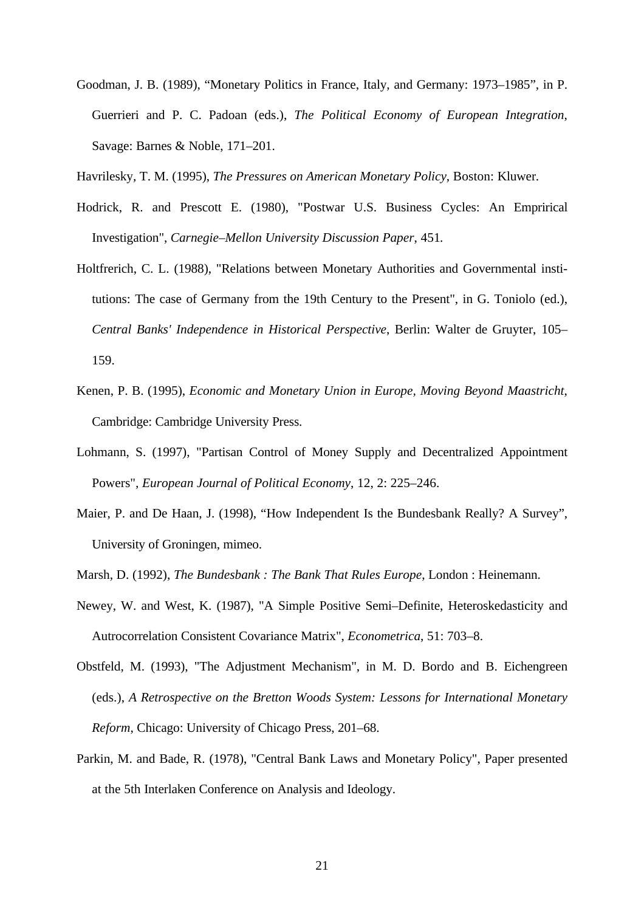- Goodman, J. B. (1989), "Monetary Politics in France, Italy, and Germany: 1973–1985", in P. Guerrieri and P. C. Padoan (eds.), *The Political Economy of European Integration*, Savage: Barnes & Noble, 171–201.
- Havrilesky, T. M. (1995), *The Pressures on American Monetary Policy*, Boston: Kluwer.
- Hodrick, R. and Prescott E. (1980), "Postwar U.S. Business Cycles: An Emprirical Investigation", *Carnegie–Mellon University Discussion Paper*, 451*.*
- Holtfrerich, C. L. (1988), "Relations between Monetary Authorities and Governmental institutions: The case of Germany from the 19th Century to the Present", in G. Toniolo (ed.), *Central Banks' Independence in Historical Perspective*, Berlin: Walter de Gruyter, 105– 159.
- Kenen, P. B. (1995), *Economic and Monetary Union in Europe, Moving Beyond Maastricht*, Cambridge: Cambridge University Press.
- Lohmann, S. (1997), "Partisan Control of Money Supply and Decentralized Appointment Powers"*, European Journal of Political Economy*, 12, 2: 225–246.
- Maier, P. and De Haan, J. (1998), "How Independent Is the Bundesbank Really? A Survey", University of Groningen, mimeo.
- Marsh, D. (1992), *The Bundesbank : The Bank That Rules Europe*, London : Heinemann.
- Newey, W. and West, K. (1987), "A Simple Positive Semi–Definite, Heteroskedasticity and Autrocorrelation Consistent Covariance Matrix", *Econometrica*, 51: 703–8.
- Obstfeld, M. (1993), "The Adjustment Mechanism", in M. D. Bordo and B. Eichengreen (eds.), *A Retrospective on the Bretton Woods System: Lessons for International Monetary Reform*, Chicago: University of Chicago Press, 201–68.
- Parkin, M. and Bade, R. (1978), "Central Bank Laws and Monetary Policy", Paper presented at the 5th Interlaken Conference on Analysis and Ideology.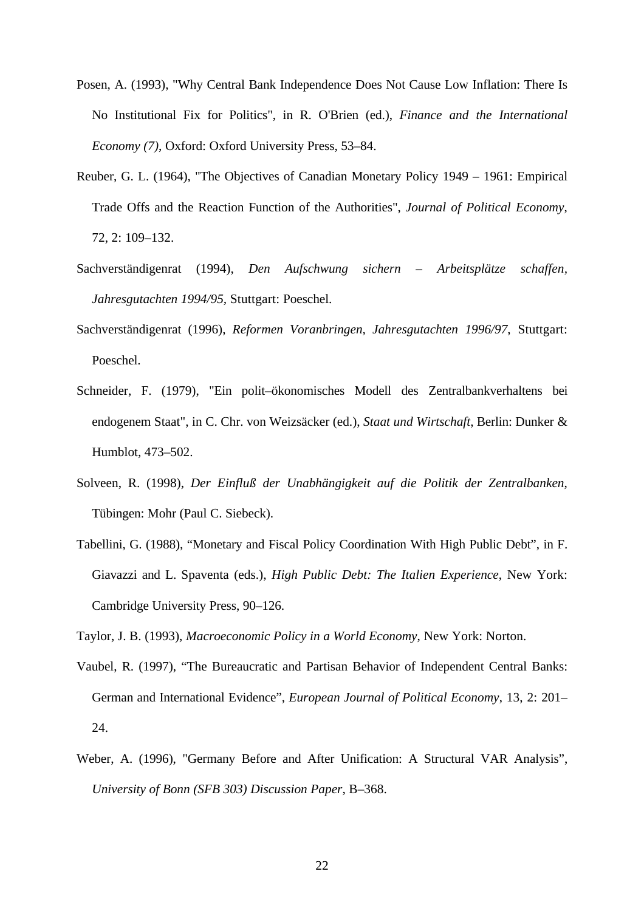- Posen, A. (1993), "Why Central Bank Independence Does Not Cause Low Inflation: There Is No Institutional Fix for Politics", in R. O'Brien (ed.), *Finance and the International Economy (7)*, Oxford: Oxford University Press, 53–84.
- Reuber, G. L. (1964), "The Objectives of Canadian Monetary Policy 1949 1961: Empirical Trade Offs and the Reaction Function of the Authorities", *Journal of Political Economy*, 72, 2: 109–132.
- Sachverständigenrat (1994), *Den Aufschwung sichern Arbeitsplätze schaffen, Jahresgutachten 1994/95,* Stuttgart: Poeschel.
- Sachverständigenrat (1996), *Reformen Voranbringen, Jahresgutachten 1996/97*, Stuttgart: Poeschel.
- Schneider, F. (1979), "Ein polit–ökonomisches Modell des Zentralbankverhaltens bei endogenem Staat", in C. Chr. von Weizsäcker (ed.), *Staat und Wirtschaft*, Berlin: Dunker & Humblot, 473–502.
- Solveen, R. (1998), *Der Einfluß der Unabhängigkeit auf die Politik der Zentralbanken*, Tübingen: Mohr (Paul C. Siebeck).
- Tabellini, G. (1988), "Monetary and Fiscal Policy Coordination With High Public Debt", in F. Giavazzi and L. Spaventa (eds.), *High Public Debt: The Italien Experience*, New York: Cambridge University Press, 90–126.

Taylor, J. B. (1993), *Macroeconomic Policy in a World Economy*, New York: Norton.

- Vaubel, R. (1997), "The Bureaucratic and Partisan Behavior of Independent Central Banks: German and International Evidence", *European Journal of Political Economy*, 13, 2: 201– 24.
- Weber, A. (1996), "Germany Before and After Unification: A Structural VAR Analysis", *University of Bonn (SFB 303) Discussion Paper*, B–368.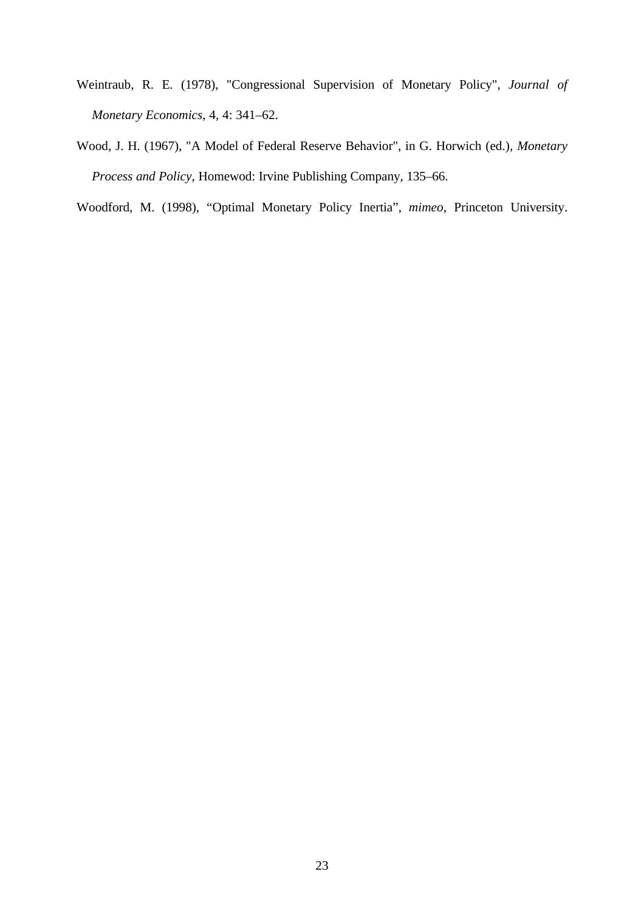- Weintraub, R. E. (1978), "Congressional Supervision of Monetary Policy", *Journal of Monetary Economics*, 4, 4: 341–62.
- Wood, J. H. (1967), "A Model of Federal Reserve Behavior", in G. Horwich (ed.), *Monetary Process and Policy*, Homewod: Irvine Publishing Company, 135–66.

Woodford, M. (1998), "Optimal Monetary Policy Inertia", *mimeo*, Princeton University.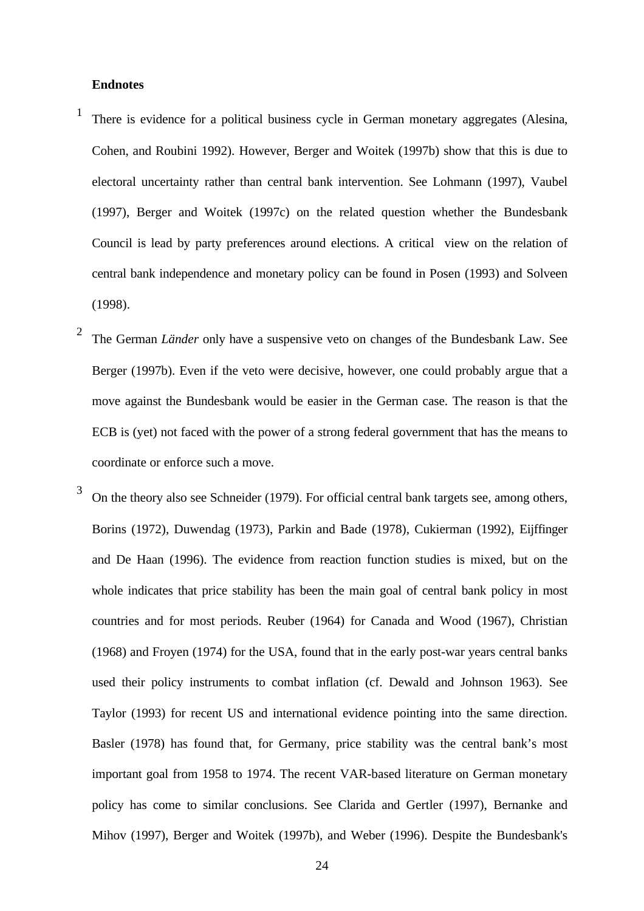#### **Endnotes**

- 1 There is evidence for a political business cycle in German monetary aggregates (Alesina, Cohen, and Roubini 1992). However, Berger and Woitek (1997b) show that this is due to electoral uncertainty rather than central bank intervention. See Lohmann (1997), Vaubel (1997), Berger and Woitek (1997c) on the related question whether the Bundesbank Council is lead by party preferences around elections. A critical view on the relation of central bank independence and monetary policy can be found in Posen (1993) and Solveen (1998).
- 2 The German *Länder* only have a suspensive veto on changes of the Bundesbank Law. See Berger (1997b). Even if the veto were decisive, however, one could probably argue that a move against the Bundesbank would be easier in the German case. The reason is that the ECB is (yet) not faced with the power of a strong federal government that has the means to coordinate or enforce such a move.
- 3 On the theory also see Schneider (1979). For official central bank targets see, among others, Borins (1972), Duwendag (1973), Parkin and Bade (1978), Cukierman (1992), Eijffinger and De Haan (1996). The evidence from reaction function studies is mixed, but on the whole indicates that price stability has been the main goal of central bank policy in most countries and for most periods. Reuber (1964) for Canada and Wood (1967), Christian (1968) and Froyen (1974) for the USA, found that in the early post-war years central banks used their policy instruments to combat inflation (cf. Dewald and Johnson 1963). See Taylor (1993) for recent US and international evidence pointing into the same direction. Basler (1978) has found that, for Germany, price stability was the central bank's most important goal from 1958 to 1974. The recent VAR-based literature on German monetary policy has come to similar conclusions. See Clarida and Gertler (1997), Bernanke and Mihov (1997), Berger and Woitek (1997b), and Weber (1996). Despite the Bundesbank's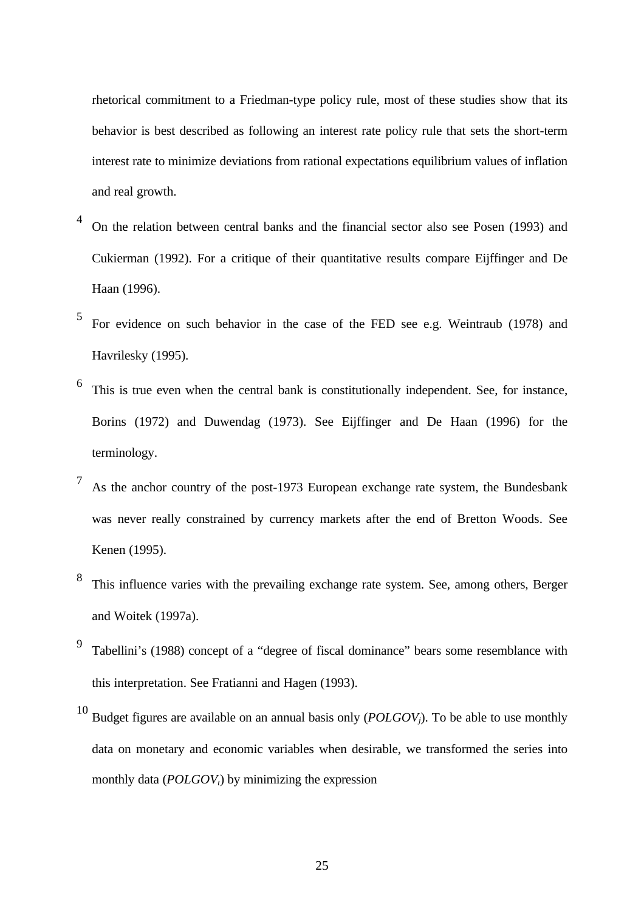rhetorical commitment to a Friedman-type policy rule, most of these studies show that its behavior is best described as following an interest rate policy rule that sets the short-term interest rate to minimize deviations from rational expectations equilibrium values of inflation and real growth.

- 4 On the relation between central banks and the financial sector also see Posen (1993) and Cukierman (1992). For a critique of their quantitative results compare Eijffinger and De Haan (1996).
- 5 For evidence on such behavior in the case of the FED see e.g. Weintraub (1978) and Havrilesky (1995).
- 6 This is true even when the central bank is constitutionally independent. See, for instance, Borins (1972) and Duwendag (1973). See Eijffinger and De Haan (1996) for the terminology.
- 7 As the anchor country of the post-1973 European exchange rate system, the Bundesbank was never really constrained by currency markets after the end of Bretton Woods. See Kenen (1995).
- 8 This influence varies with the prevailing exchange rate system. See, among others, Berger and Woitek (1997a).
- 9 Tabellini's (1988) concept of a "degree of fiscal dominance" bears some resemblance with this interpretation. See Fratianni and Hagen (1993).
- <sup>10</sup> Budget figures are available on an annual basis only (*POLGOVj*). To be able to use monthly data on monetary and economic variables when desirable, we transformed the series into monthly data (*POLGOVt*) by minimizing the expression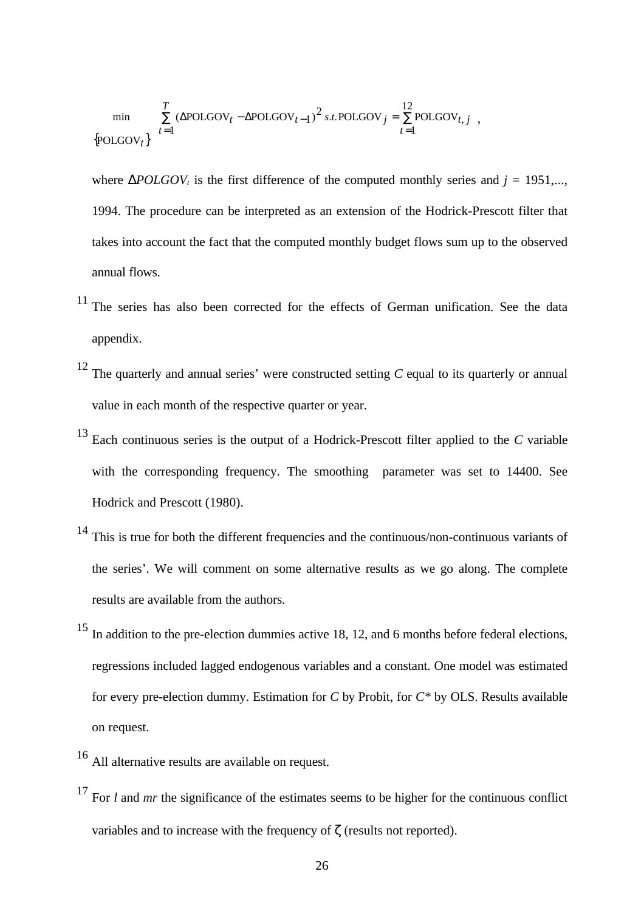$$
\label{eq:min} \begin{array}{ll} \min \qquad \sum\limits_{t=1}^{T}\left(\Delta \text{POLGOV}_t-\Delta \text{POLGOV}_{t-1}\right)^2 s.t. \text{POLGOV}_j = \sum\limits_{t=1}^{12}\text{POLGOV}_{t, \; j} \;\;, \\ \text{[POLGOV}_t\big\} \end{array}
$$

where  $\triangle POLGOV_t$  is the first difference of the computed monthly series and  $j = 1951$ .... 1994. The procedure can be interpreted as an extension of the Hodrick-Prescott filter that takes into account the fact that the computed monthly budget flows sum up to the observed annual flows.

- <sup>11</sup> The series has also been corrected for the effects of German unification. See the data appendix.
- <sup>12</sup> The quarterly and annual series' were constructed setting *C* equal to its quarterly or annual value in each month of the respective quarter or year.
- <sup>13</sup> Each continuous series is the output of a Hodrick-Prescott filter applied to the *C* variable with the corresponding frequency. The smoothing parameter was set to 14400. See Hodrick and Prescott (1980).
- <sup>14</sup> This is true for both the different frequencies and the continuous/non-continuous variants of the series'. We will comment on some alternative results as we go along. The complete results are available from the authors.
- <sup>15</sup> In addition to the pre-election dummies active 18, 12, and 6 months before federal elections, regressions included lagged endogenous variables and a constant. One model was estimated for every pre-election dummy. Estimation for *C* by Probit, for *C\** by OLS. Results available on request.
- <sup>16</sup> All alternative results are available on request.
- <sup>17</sup> For *l* and *mr* the significance of the estimates seems to be higher for the continuous conflict variables and to increase with the frequency of ζ (results not reported).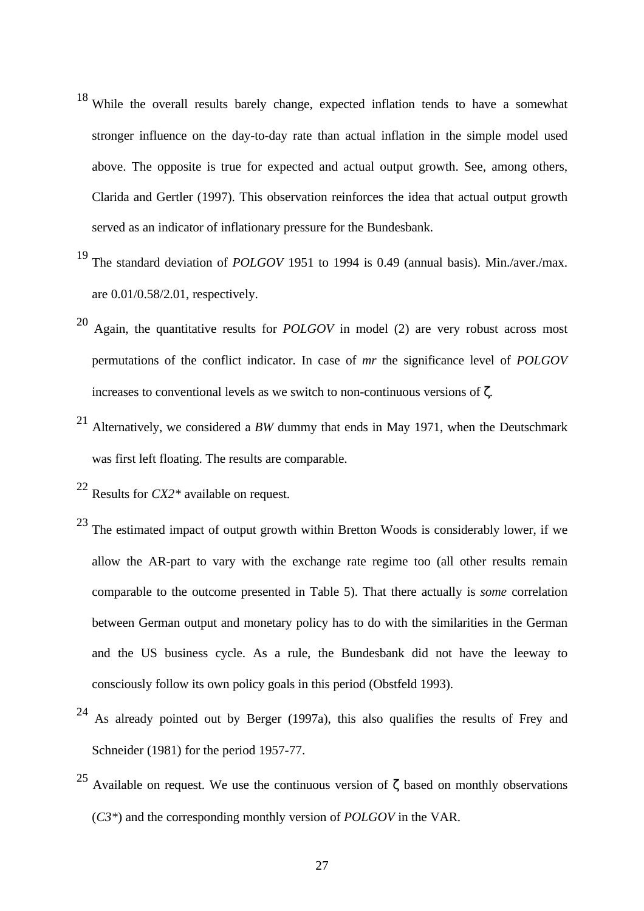- <sup>18</sup> While the overall results barely change, expected inflation tends to have a somewhat stronger influence on the day-to-day rate than actual inflation in the simple model used above. The opposite is true for expected and actual output growth. See, among others, Clarida and Gertler (1997). This observation reinforces the idea that actual output growth served as an indicator of inflationary pressure for the Bundesbank.
- <sup>19</sup> The standard deviation of *POLGOV* 1951 to 1994 is 0.49 (annual basis). Min./aver./max. are 0.01/0.58/2.01, respectively.
- <sup>20</sup> Again, the quantitative results for *POLGOV* in model (2) are very robust across most permutations of the conflict indicator. In case of *mr* the significance level of *POLGOV* increases to conventional levels as we switch to non-continuous versions of ζ*.*
- <sup>21</sup> Alternatively, we considered a *BW* dummy that ends in May 1971, when the Deutschmark was first left floating. The results are comparable.
- <sup>22</sup> Results for *CX2\** available on request.
- $^{23}$  The estimated impact of output growth within Bretton Woods is considerably lower, if we allow the AR-part to vary with the exchange rate regime too (all other results remain comparable to the outcome presented in Table 5). That there actually is *some* correlation between German output and monetary policy has to do with the similarities in the German and the US business cycle. As a rule, the Bundesbank did not have the leeway to consciously follow its own policy goals in this period (Obstfeld 1993).
- <sup>24</sup> As already pointed out by Berger (1997a), this also qualifies the results of Frey and Schneider (1981) for the period 1957-77.
- <sup>25</sup> Available on request. We use the continuous version of  $\zeta$  based on monthly observations (*C3\**) and the corresponding monthly version of *POLGOV* in the VAR.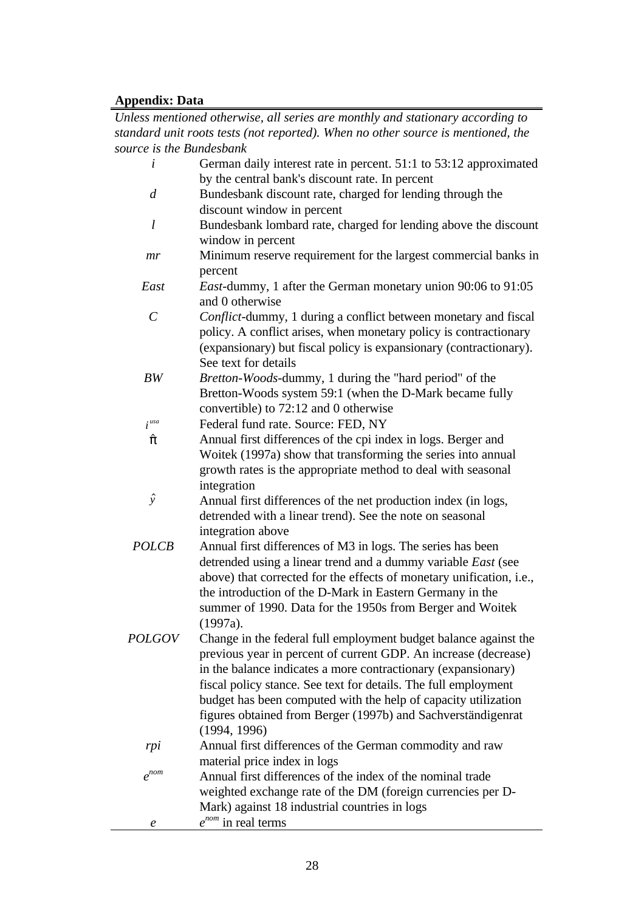# **Appendix: Data**

*Unless mentioned otherwise, all series are monthly and stationary according to standard unit roots tests (not reported). When no other source is mentioned, the source is the Bundesbank*

| $\dot{i}$             | German daily interest rate in percent. 51:1 to 53:12 approximated<br>by the central bank's discount rate. In percent                  |
|-----------------------|---------------------------------------------------------------------------------------------------------------------------------------|
| $\overline{d}$        | Bundesbank discount rate, charged for lending through the                                                                             |
|                       | discount window in percent                                                                                                            |
| l                     | Bundesbank lombard rate, charged for lending above the discount                                                                       |
|                       | window in percent                                                                                                                     |
| mr                    | Minimum reserve requirement for the largest commercial banks in                                                                       |
|                       | percent                                                                                                                               |
| East                  | <i>East</i> -dummy, 1 after the German monetary union 90:06 to 91:05<br>and 0 otherwise                                               |
| $\mathcal{C}_{0}^{0}$ | Conflict-dummy, 1 during a conflict between monetary and fiscal                                                                       |
|                       | policy. A conflict arises, when monetary policy is contractionary                                                                     |
|                       | (expansionary) but fiscal policy is expansionary (contractionary).                                                                    |
|                       | See text for details                                                                                                                  |
| BW                    | Bretton-Woods-dummy, 1 during the "hard period" of the                                                                                |
|                       | Bretton-Woods system 59:1 (when the D-Mark became fully                                                                               |
|                       | convertible) to 72:12 and 0 otherwise                                                                                                 |
| i <sup>usa</sup>      | Federal fund rate. Source: FED, NY                                                                                                    |
| $\hat{\pi}$           | Annual first differences of the cpi index in logs. Berger and                                                                         |
|                       | Woitek (1997a) show that transforming the series into annual                                                                          |
|                       | growth rates is the appropriate method to deal with seasonal                                                                          |
|                       | integration                                                                                                                           |
| $\hat{y}$             | Annual first differences of the net production index (in logs,                                                                        |
|                       | detrended with a linear trend). See the note on seasonal                                                                              |
|                       | integration above                                                                                                                     |
| <b>POLCB</b>          | Annual first differences of M3 in logs. The series has been                                                                           |
|                       | detrended using a linear trend and a dummy variable East (see<br>above) that corrected for the effects of monetary unification, i.e., |
|                       | the introduction of the D-Mark in Eastern Germany in the                                                                              |
|                       | summer of 1990. Data for the 1950s from Berger and Woitek                                                                             |
|                       | (1997a).                                                                                                                              |
| <i>POLGOV</i>         | Change in the federal full employment budget balance against the                                                                      |
|                       | previous year in percent of current GDP. An increase (decrease)                                                                       |
|                       | in the balance indicates a more contractionary (expansionary)                                                                         |
|                       | fiscal policy stance. See text for details. The full employment                                                                       |
|                       | budget has been computed with the help of capacity utilization                                                                        |
|                       | figures obtained from Berger (1997b) and Sachverständigenrat                                                                          |
|                       | (1994, 1996)                                                                                                                          |
| rpi                   | Annual first differences of the German commodity and raw                                                                              |
|                       | material price index in logs                                                                                                          |
| $e^{nom}$             | Annual first differences of the index of the nominal trade                                                                            |
|                       | weighted exchange rate of the DM (foreign currencies per D-                                                                           |
|                       | Mark) against 18 industrial countries in logs                                                                                         |
| $\boldsymbol{e}$      | $e^{nom}$ in real terms                                                                                                               |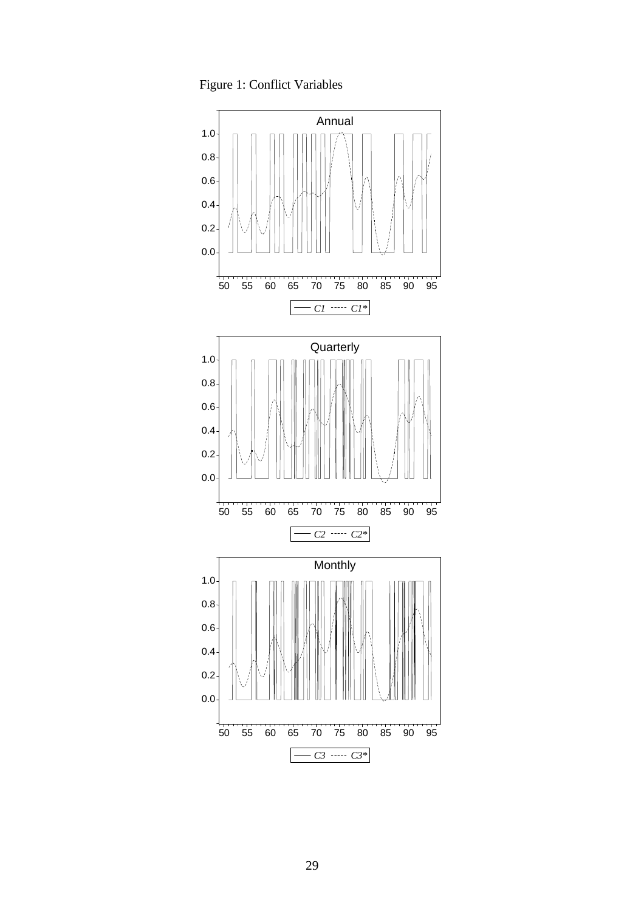Figure 1: Conflict Variables

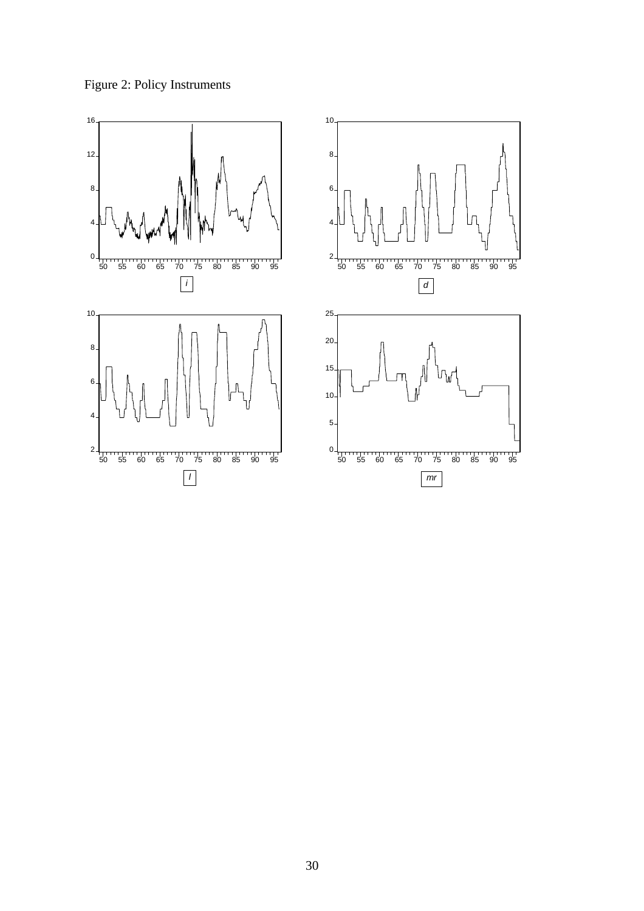Figure 2: Policy Instruments

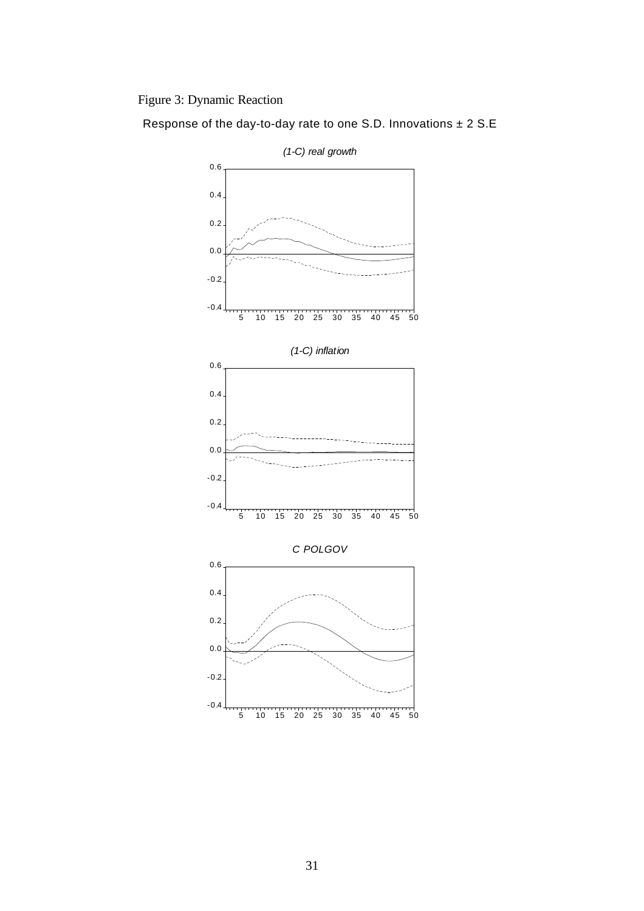Figure 3: Dynamic Reaction

Response of the day-to-day rate to one S.D. Innovations  $\pm$  2 S.E



31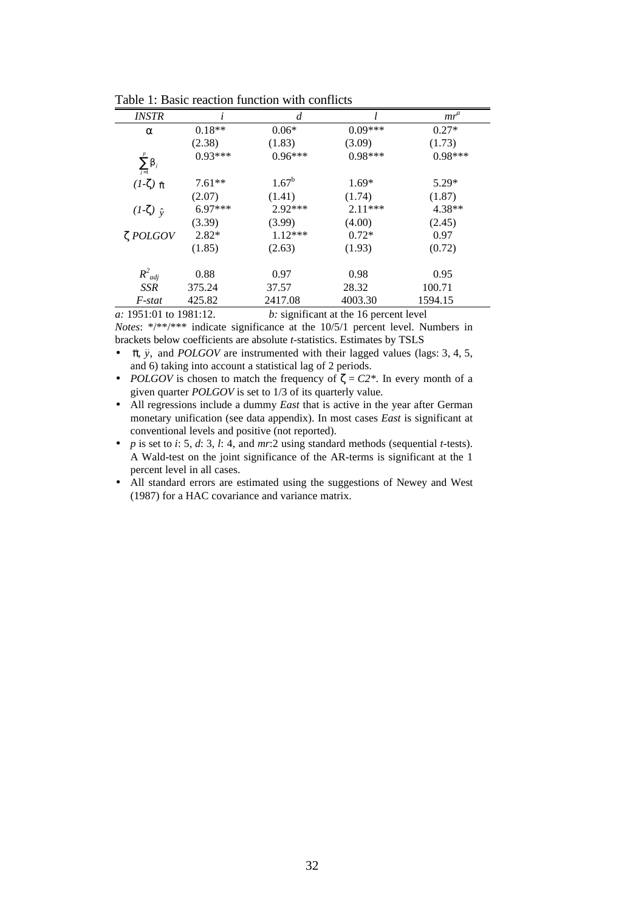| <i>INSTR</i>            |           | d         |           | $mr^a$    |
|-------------------------|-----------|-----------|-----------|-----------|
| a                       | $0.18**$  | $0.06*$   | $0.09***$ | $0.27*$   |
|                         | (2.38)    | (1.83)    | (3.09)    | (1.73)    |
| $\sum_{j=1}^r \beta_j$  | $0.93***$ | $0.96***$ | $0.98***$ | $0.98***$ |
| $(I-\zeta)$ $\hat{\pi}$ | $7.61**$  | $1.67^b$  | $1.69*$   | $5.29*$   |
|                         | (2.07)    | (1.41)    | (1.74)    | (1.87)    |
| $(I-\zeta)$ $\hat{v}$   | $6.97***$ | $2.92***$ | $2.11***$ | $4.38**$  |
|                         | (3.39)    | (3.99)    | (4.00)    | (2.45)    |
| $\zeta$ POLGOV          | $2.82*$   | $1.12***$ | $0.72*$   | 0.97      |
|                         | (1.85)    | (2.63)    | (1.93)    | (0.72)    |
| $R^2_{adj}$             | 0.88      | 0.97      | 0.98      | 0.95      |
| <b>SSR</b>              | 375.24    | 37.57     | 28.32     | 100.71    |
| F-stat                  | 425.82    | 2417.08   | 4003.30   | 1594.15   |

Table 1: Basic reaction function with conflicts

*a:* 1951:01 to 1981:12. *b:* significant at the 16 percent level

*Notes*: \*/\*\*/\*\*\* indicate significance at the 10/5/1 percent level. Numbers in brackets below coefficients are absolute *t*-statistics. Estimates by TSLS

- πˆ, *y*ˆ, and *POLGOV* are instrumented with their lagged values (lags: 3, 4, 5, and 6) taking into account a statistical lag of 2 periods.
- *POLGOV* is chosen to match the frequency of  $\zeta = C2^*$ . In every month of a given quarter *POLGOV* is set to 1/3 of its quarterly value.
- All regressions include a dummy *East* that is active in the year after German monetary unification (see data appendix). In most cases *East* is significant at conventional levels and positive (not reported).
- *p* is set to *i*: 5, *d*: 3, *l*: 4, and *mr*:2 using standard methods (sequential *t*-tests). A Wald-test on the joint significance of the AR-terms is significant at the 1 percent level in all cases.
- All standard errors are estimated using the suggestions of Newey and West (1987) for a HAC covariance and variance matrix.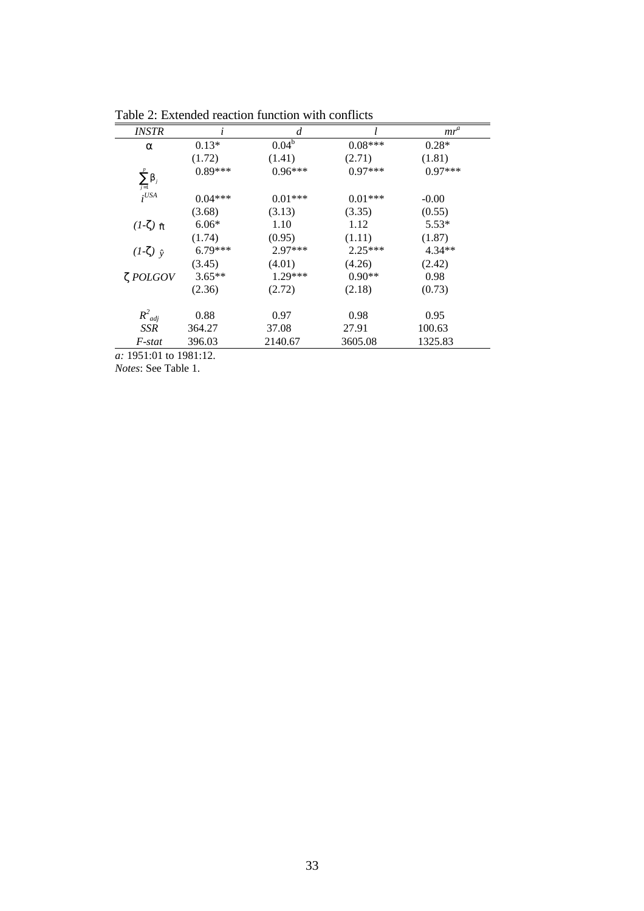|           | d         |            | $mr^a$    |
|-----------|-----------|------------|-----------|
| $0.13*$   |           | $0.08***$  | $0.28*$   |
| (1.72)    | (1.41)    | (2.71)     | (1.81)    |
| $0.89***$ | $0.96***$ | $0.97***$  | $0.97***$ |
| $0.04***$ | $0.01***$ | $0.01***$  | $-0.00$   |
| (3.68)    | (3.13)    | (3.35)     | (0.55)    |
| $6.06*$   | 1.10      | 1.12       | $5.53*$   |
| (1.74)    | (0.95)    | (1.11)     | (1.87)    |
| 6.79***   | $2.97***$ | $2.25***$  | $4.34**$  |
| (3.45)    | (4.01)    | (4.26)     | (2.42)    |
| $3.65**$  | $1.29***$ | $0.90**$   | 0.98      |
| (2.36)    | (2.72)    | (2.18)     | (0.73)    |
| 0.88      | 0.97      | 0.98       | 0.95      |
| 364.27    | 37.08     | 27.91      | 100.63    |
| 396.03    | 2140.67   | 3605.08    | 1325.83   |
|           |           | $0.04^{b}$ |           |

Table 2: Extended reaction function with conflicts

*Notes*: See Table 1.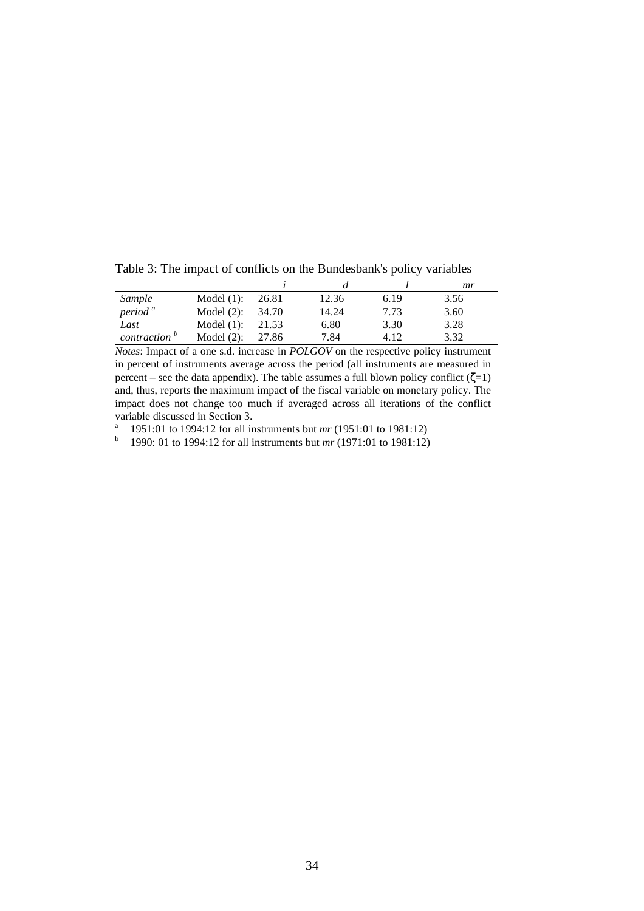|                          |               |       |       |      | mr   |
|--------------------------|---------------|-------|-------|------|------|
| Sample                   | Model $(1)$ : | 26.81 | 12.36 | 6.19 | 3.56 |
| period <sup>a</sup>      | Model $(2)$ : | 34.70 | 14.24 | 7.73 | 3.60 |
| Last                     | Model $(1)$ : | 21.53 | 6.80  | 3.30 | 3.28 |
| contraction <sup>b</sup> | Model $(2)$ : | 27.86 | 7.84  | 4.12 | 3.32 |

Table 3: The impact of conflicts on the Bundesbank's policy variables

*Notes*: Impact of a one s.d. increase in *POLGOV* on the respective policy instrument in percent of instruments average across the period (all instruments are measured in percent – see the data appendix). The table assumes a full blown policy conflict ( $\zeta=1$ ) and, thus, reports the maximum impact of the fiscal variable on monetary policy. The impact does not change too much if averaged across all iterations of the conflict variable discussed in Section 3.

<sup>a</sup> 1951:01 to 1994:12 for all instruments but *mr* (1951:01 to 1981:12)

<sup>b</sup> 1990: 01 to 1994:12 for all instruments but *mr* (1971:01 to 1981:12)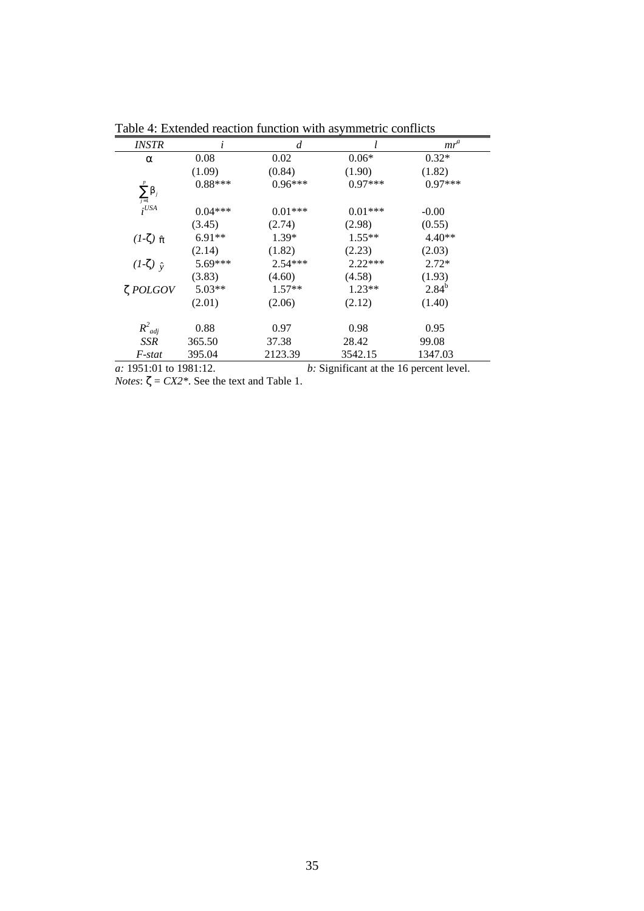| <i>INSTR</i>            |           | d         |           | $mr^a$     |  |
|-------------------------|-----------|-----------|-----------|------------|--|
| a                       | 0.08      | 0.02      | $0.06*$   | $0.32*$    |  |
|                         | (1.09)    | (0.84)    | (1.90)    | (1.82)     |  |
|                         | $0.88***$ | $0.96***$ | $0.97***$ | $0.97***$  |  |
| $\sum_{j=1}^p \beta_j$  |           |           |           |            |  |
| $i^{USA}$               | $0.04***$ | $0.01***$ | $0.01***$ | $-0.00$    |  |
|                         | (3.45)    | (2.74)    | (2.98)    | (0.55)     |  |
| $(I-\zeta)$ $\hat{\pi}$ | $6.91**$  | $1.39*$   | $1.55**$  | $4.40**$   |  |
|                         | (2.14)    | (1.82)    | (2.23)    | (2.03)     |  |
| $(I-\zeta)$ $\hat{v}$   | $5.69***$ | $2.54***$ | $2.22***$ | $2.72*$    |  |
|                         | (3.83)    | (4.60)    | (4.58)    | (1.93)     |  |
| $\zeta$ POLGOV          | $5.03**$  | $1.57**$  | $1.23**$  | $2.84^{b}$ |  |
|                         | (2.01)    | (2.06)    | (2.12)    | (1.40)     |  |
|                         |           |           |           |            |  |
| $R^2_{adj}$             | 0.88      | 0.97      | 0.98      | 0.95       |  |
| SSR                     | 365.50    | 37.38     | 28.42     | 99.08      |  |
| F-stat                  | 395.04    | 2123.39   | 3542.15   | 1347.03    |  |
|                         | 100110    |           | .         |            |  |

Table 4: Extended reaction function with asymmetric conflicts

*a:* 1951:01 to 1981:12. *b:* Significant at the 16 percent level. *Notes*:  $\zeta = CX2$ <sup>\*</sup>. See the text and Table 1.